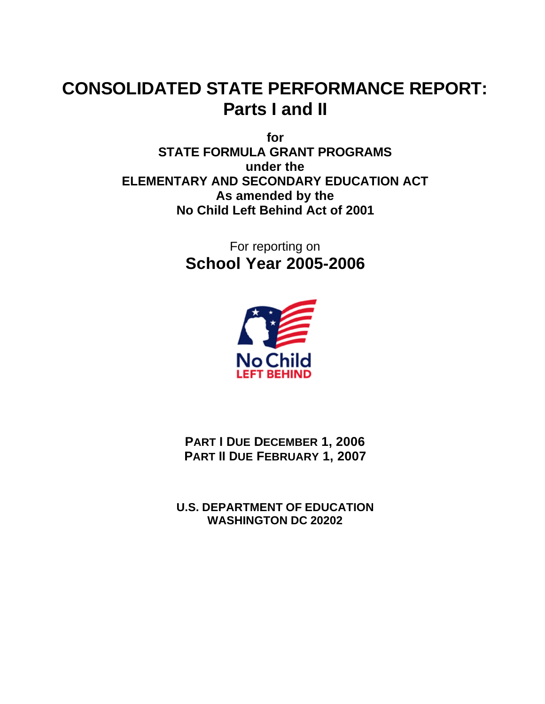# **CONSOLIDATED STATE PERFORMANCE REPORT: Parts I and II**

**for STATE FORMULA GRANT PROGRAMS under the ELEMENTARY AND SECONDARY EDUCATION ACT As amended by the No Child Left Behind Act of 2001**

> For reporting on **School Year 2005-2006**



**PART I DUE DECEMBER 1, 2006 PART II DUE FEBRUARY 1, 2007** 

**U.S. DEPARTMENT OF EDUCATION WASHINGTON DC 20202**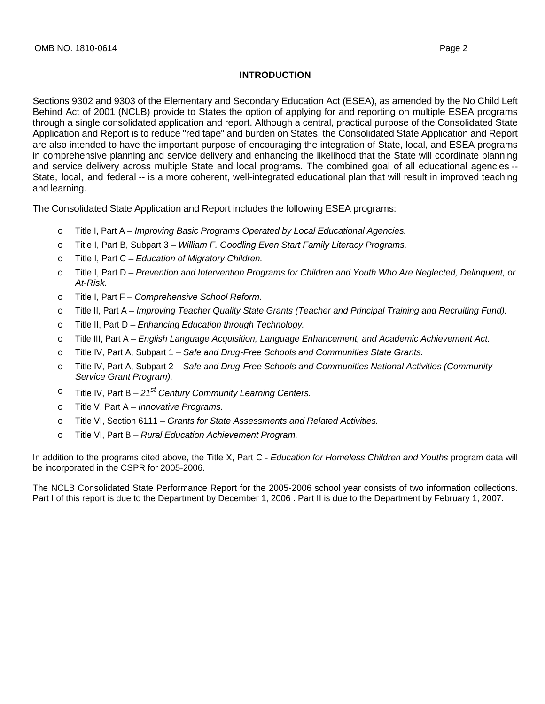#### **INTRODUCTION**

Sections 9302 and 9303 of the Elementary and Secondary Education Act (ESEA), as amended by the No Child Left Behind Act of 2001 (NCLB) provide to States the option of applying for and reporting on multiple ESEA programs through a single consolidated application and report. Although a central, practical purpose of the Consolidated State Application and Report is to reduce "red tape" and burden on States, the Consolidated State Application and Report are also intended to have the important purpose of encouraging the integration of State, local, and ESEA programs in comprehensive planning and service delivery and enhancing the likelihood that the State will coordinate planning and service delivery across multiple State and local programs. The combined goal of all educational agencies -- State, local, and federal -- is a more coherent, well-integrated educational plan that will result in improved teaching and learning.

The Consolidated State Application and Report includes the following ESEA programs:

- o Title I, Part A Improving Basic Programs Operated by Local Educational Agencies.
- o Title I, Part B, Subpart 3 William F. Goodling Even Start Family Literacy Programs.
- $\circ$  Title I, Part C Education of Migratory Children.
- o Title I, Part D Prevention and Intervention Programs for Children and Youth Who Are Neglected, Delinquent, or At-Risk.
- o Title I, Part F Comprehensive School Reform.
- o Title II, Part A Improving Teacher Quality State Grants (Teacher and Principal Training and Recruiting Fund).
- $\circ$  Title II, Part D Enhancing Education through Technology.
- o Title III, Part A English Language Acquisition, Language Enhancement, and Academic Achievement Act.
- $\circ$  Title IV, Part A, Subpart 1 Safe and Drug-Free Schools and Communities State Grants.
- o Title IV, Part A, Subpart 2 Safe and Drug-Free Schools and Communities National Activities (Community Service Grant Program).
- $\degree$  Title IV, Part B 21<sup>st</sup> Century Community Learning Centers.
- o Title V, Part A Innovative Programs.
- o Title VI, Section 6111 Grants for State Assessments and Related Activities.
- o Title VI, Part B Rural Education Achievement Program.

In addition to the programs cited above, the Title X, Part C - Education for Homeless Children and Youths program data will be incorporated in the CSPR for 2005-2006.

The NCLB Consolidated State Performance Report for the 2005-2006 school year consists of two information collections. Part I of this report is due to the Department by December 1, 2006 . Part II is due to the Department by February 1, 2007.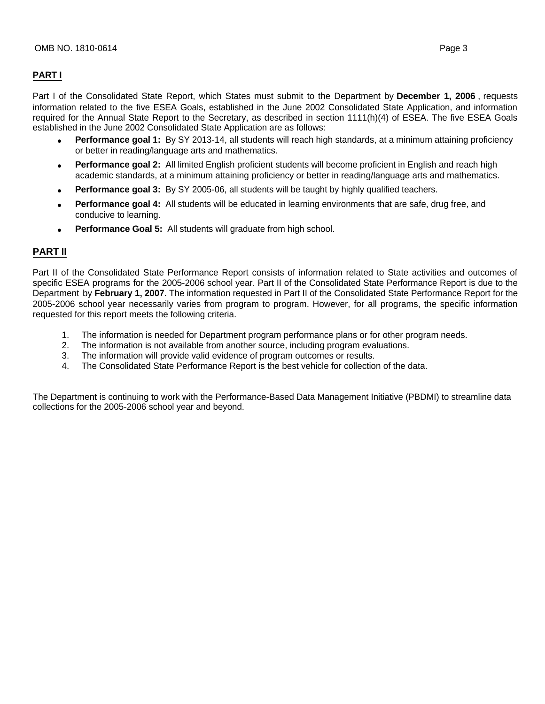# **PART I**

Part I of the Consolidated State Report, which States must submit to the Department by **December 1, 2006** , requests information related to the five ESEA Goals, established in the June 2002 Consolidated State Application, and information required for the Annual State Report to the Secretary, as described in section 1111(h)(4) of ESEA. The five ESEA Goals established in the June 2002 Consolidated State Application are as follows:

- **Performance goal 1:** By SY 2013-14, all students will reach high standards, at a minimum attaining proficiency or better in reading/language arts and mathematics.
- **Performance goal 2:** All limited English proficient students will become proficient in English and reach high academic standards, at a minimum attaining proficiency or better in reading/language arts and mathematics.
- **Performance goal 3:** By SY 2005-06, all students will be taught by highly qualified teachers.
- **Performance goal 4:** All students will be educated in learning environments that are safe, drug free, and conducive to learning.
- Performance Goal 5: All students will graduate from high school.

# **PART II**

Part II of the Consolidated State Performance Report consists of information related to State activities and outcomes of specific ESEA programs for the 2005-2006 school year. Part II of the Consolidated State Performance Report is due to the Department by **February 1, 2007**. The information requested in Part II of the Consolidated State Performance Report for the 2005-2006 school year necessarily varies from program to program. However, for all programs, the specific information requested for this report meets the following criteria.

- 1. The information is needed for Department program performance plans or for other program needs.
- 2. The information is not available from another source, including program evaluations.
- 3. The information will provide valid evidence of program outcomes or results.<br>4. The Consolidated State Performance Report is the best vehicle for collection
- 4. The Consolidated State Performance Report is the best vehicle for collection of the data.

The Department is continuing to work with the Performance-Based Data Management Initiative (PBDMI) to streamline data collections for the 2005-2006 school year and beyond.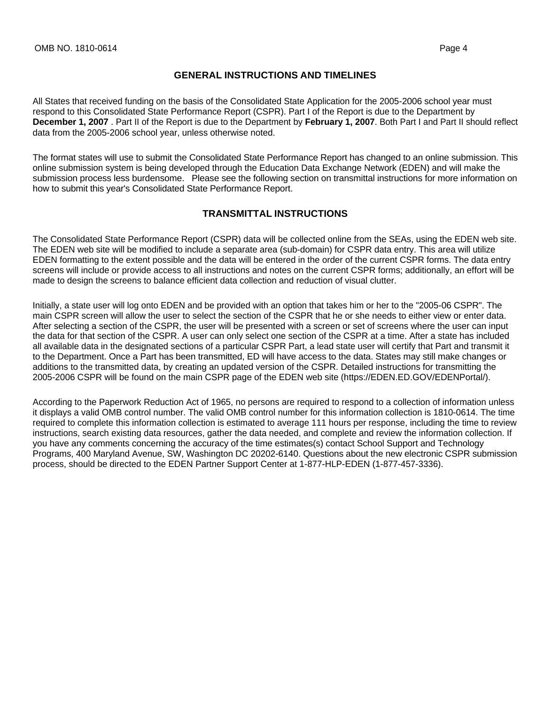### **GENERAL INSTRUCTIONS AND TIMELINES**

All States that received funding on the basis of the Consolidated State Application for the 2005-2006 school year must respond to this Consolidated State Performance Report (CSPR). Part I of the Report is due to the Department by **December 1, 2007** . Part II of the Report is due to the Department by **February 1, 2007**. Both Part I and Part II should reflect data from the 2005-2006 school year, unless otherwise noted.

The format states will use to submit the Consolidated State Performance Report has changed to an online submission. This online submission system is being developed through the Education Data Exchange Network (EDEN) and will make the submission process less burdensome. Please see the following section on transmittal instructions for more information on how to submit this year's Consolidated State Performance Report.

## **TRANSMITTAL INSTRUCTIONS**

The Consolidated State Performance Report (CSPR) data will be collected online from the SEAs, using the EDEN web site. The EDEN web site will be modified to include a separate area (sub-domain) for CSPR data entry. This area will utilize EDEN formatting to the extent possible and the data will be entered in the order of the current CSPR forms. The data entry screens will include or provide access to all instructions and notes on the current CSPR forms; additionally, an effort will be made to design the screens to balance efficient data collection and reduction of visual clutter.

Initially, a state user will log onto EDEN and be provided with an option that takes him or her to the "2005-06 CSPR". The main CSPR screen will allow the user to select the section of the CSPR that he or she needs to either view or enter data. After selecting a section of the CSPR, the user will be presented with a screen or set of screens where the user can input the data for that section of the CSPR. A user can only select one section of the CSPR at a time. After a state has included all available data in the designated sections of a particular CSPR Part, a lead state user will certify that Part and transmit it to the Department. Once a Part has been transmitted, ED will have access to the data. States may still make changes or additions to the transmitted data, by creating an updated version of the CSPR. Detailed instructions for transmitting the 2005-2006 CSPR will be found on the main CSPR page of the EDEN web site (https://EDEN.ED.GOV/EDENPortal/).

According to the Paperwork Reduction Act of 1965, no persons are required to respond to a collection of information unless it displays a valid OMB control number. The valid OMB control number for this information collection is 1810-0614. The time required to complete this information collection is estimated to average 111 hours per response, including the time to review instructions, search existing data resources, gather the data needed, and complete and review the information collection. If you have any comments concerning the accuracy of the time estimates(s) contact School Support and Technology Programs, 400 Maryland Avenue, SW, Washington DC 20202-6140. Questions about the new electronic CSPR submission process, should be directed to the EDEN Partner Support Center at 1-877-HLP-EDEN (1-877-457-3336).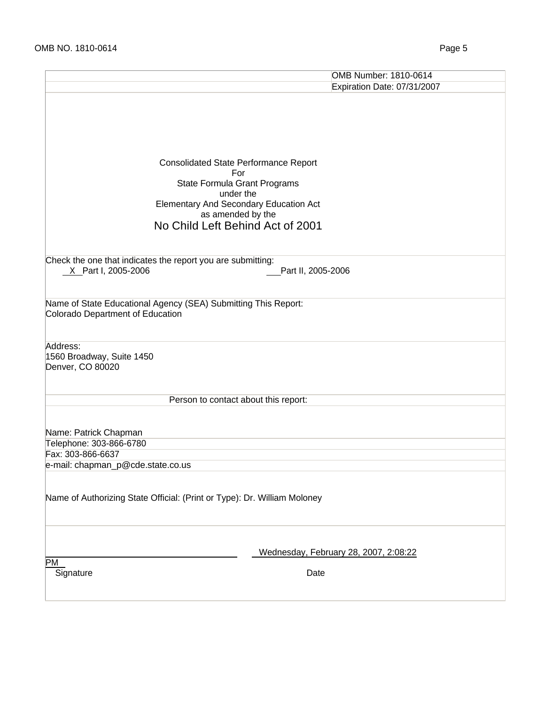|                                                                          | OMB Number: 1810-0614                         |
|--------------------------------------------------------------------------|-----------------------------------------------|
|                                                                          | Expiration Date: 07/31/2007                   |
|                                                                          |                                               |
|                                                                          |                                               |
|                                                                          |                                               |
|                                                                          |                                               |
|                                                                          |                                               |
|                                                                          | <b>Consolidated State Performance Report</b>  |
|                                                                          | For                                           |
|                                                                          | State Formula Grant Programs                  |
|                                                                          | under the                                     |
|                                                                          | <b>Elementary And Secondary Education Act</b> |
|                                                                          | as amended by the                             |
|                                                                          | No Child Left Behind Act of 2001              |
|                                                                          |                                               |
|                                                                          |                                               |
| Check the one that indicates the report you are submitting:              |                                               |
| X Part I, 2005-2006                                                      | Part II, 2005-2006                            |
|                                                                          |                                               |
| Name of State Educational Agency (SEA) Submitting This Report:           |                                               |
| Colorado Department of Education                                         |                                               |
|                                                                          |                                               |
|                                                                          |                                               |
| Address:                                                                 |                                               |
| 1560 Broadway, Suite 1450                                                |                                               |
| Denver, CO 80020                                                         |                                               |
|                                                                          |                                               |
|                                                                          |                                               |
|                                                                          | Person to contact about this report:          |
|                                                                          |                                               |
| Name: Patrick Chapman                                                    |                                               |
| Telephone: 303-866-6780                                                  |                                               |
| Fax: 303-866-6637                                                        |                                               |
| e-mail: chapman_p@cde.state.co.us                                        |                                               |
|                                                                          |                                               |
|                                                                          |                                               |
| Name of Authorizing State Official: (Print or Type): Dr. William Moloney |                                               |
|                                                                          |                                               |
|                                                                          |                                               |
|                                                                          |                                               |
|                                                                          | Wednesday, February 28, 2007, 2:08:22         |
| PM                                                                       |                                               |
| Signature                                                                | Date                                          |
|                                                                          |                                               |
|                                                                          |                                               |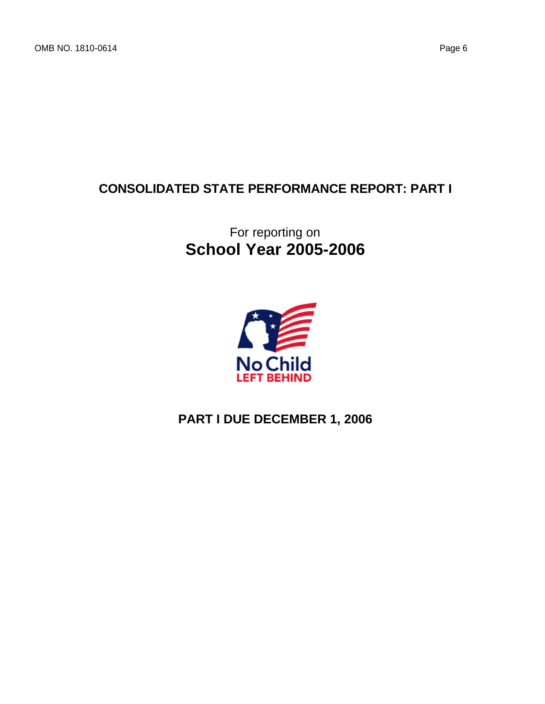# **CONSOLIDATED STATE PERFORMANCE REPORT: PART I**

# For reporting on **School Year 2005-2006**



# **PART I DUE DECEMBER 1, 2006**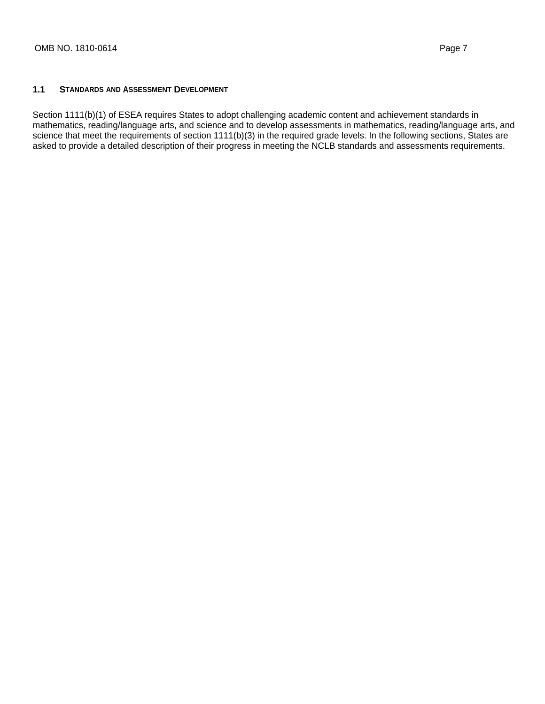#### **1.1 STANDARDS AND ASSESSMENT DEVELOPMENT**

Section 1111(b)(1) of ESEA requires States to adopt challenging academic content and achievement standards in mathematics, reading/language arts, and science and to develop assessments in mathematics, reading/language arts, and science that meet the requirements of section 1111(b)(3) in the required grade levels. In the following sections, States are asked to provide a detailed description of their progress in meeting the NCLB standards and assessments requirements.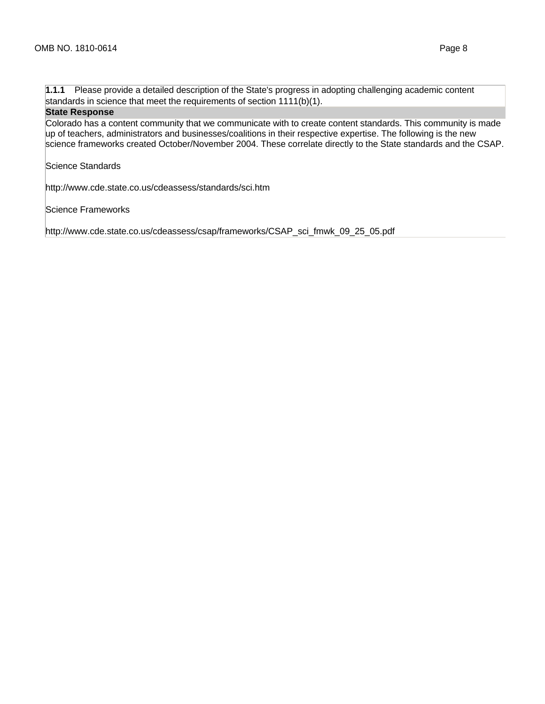**1.1.1** Please provide a detailed description of the State's progress in adopting challenging academic content standards in science that meet the requirements of section 1111(b)(1).

#### **State Response**

Colorado has a content community that we communicate with to create content standards. This community is made up of teachers, administrators and businesses/coalitions in their respective expertise. The following is the new science frameworks created October/November 2004. These correlate directly to the State standards and the CSAP.

Science Standards

http://www.cde.state.co.us/cdeassess/standards/sci.htm

Science Frameworks

http://www.cde.state.co.us/cdeassess/csap/frameworks/CSAP\_sci\_fmwk\_09\_25\_05.pdf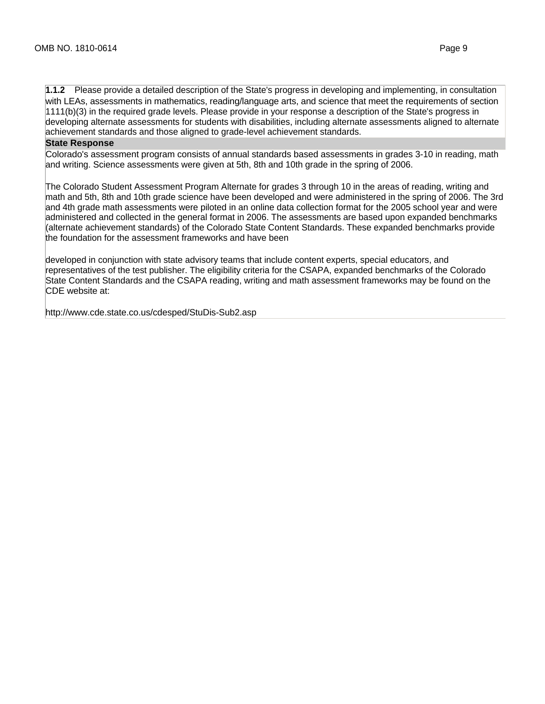**1.1.2** Please provide a detailed description of the State's progress in developing and implementing, in consultation with LEAs, assessments in mathematics, reading/language arts, and science that meet the requirements of section 1111(b)(3) in the required grade levels. Please provide in your response a description of the State's progress in developing alternate assessments for students with disabilities, including alternate assessments aligned to alternate achievement standards and those aligned to grade-level achievement standards.

#### **State Response**

Colorado's assessment program consists of annual standards based assessments in grades 3-10 in reading, math and writing. Science assessments were given at 5th, 8th and 10th grade in the spring of 2006.

The Colorado Student Assessment Program Alternate for grades 3 through 10 in the areas of reading, writing and math and 5th, 8th and 10th grade science have been developed and were administered in the spring of 2006. The 3rd and 4th grade math assessments were piloted in an online data collection format for the 2005 school year and were administered and collected in the general format in 2006. The assessments are based upon expanded benchmarks (alternate achievement standards) of the Colorado State Content Standards. These expanded benchmarks provide the foundation for the assessment frameworks and have been

developed in conjunction with state advisory teams that include content experts, special educators, and representatives of the test publisher. The eligibility criteria for the CSAPA, expanded benchmarks of the Colorado State Content Standards and the CSAPA reading, writing and math assessment frameworks may be found on the CDE website at:

http://www.cde.state.co.us/cdesped/StuDis-Sub2.asp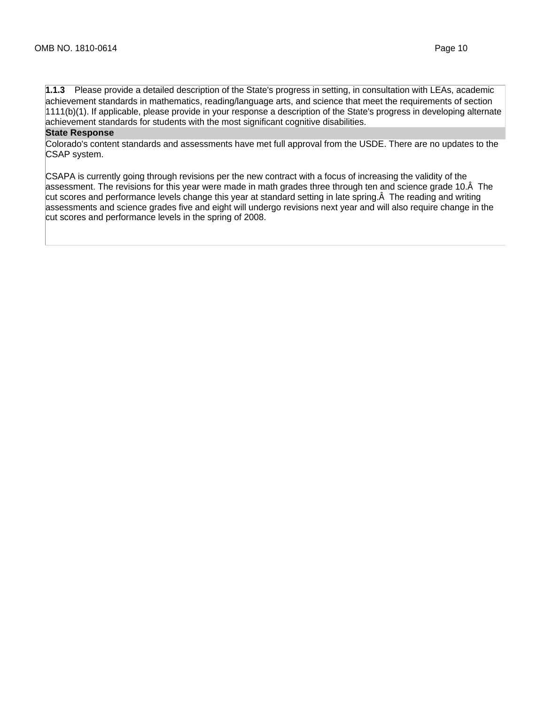**1.1.3** Please provide a detailed description of the State's progress in setting, in consultation with LEAs, academic achievement standards in mathematics, reading/language arts, and science that meet the requirements of section 1111(b)(1). If applicable, please provide in your response a description of the State's progress in developing alternate achievement standards for students with the most significant cognitive disabilities.

#### **State Response**

Colorado's content standards and assessments have met full approval from the USDE. There are no updates to the CSAP system.

CSAPA is currently going through revisions per the new contract with a focus of increasing the validity of the assessment. The revisions for this year were made in math grades three through ten and science grade 10. Å The cut scores and performance levels change this year at standard setting in late spring. $\hat{A}$  The reading and writing assessments and science grades five and eight will undergo revisions next year and will also require change in the cut scores and performance levels in the spring of 2008.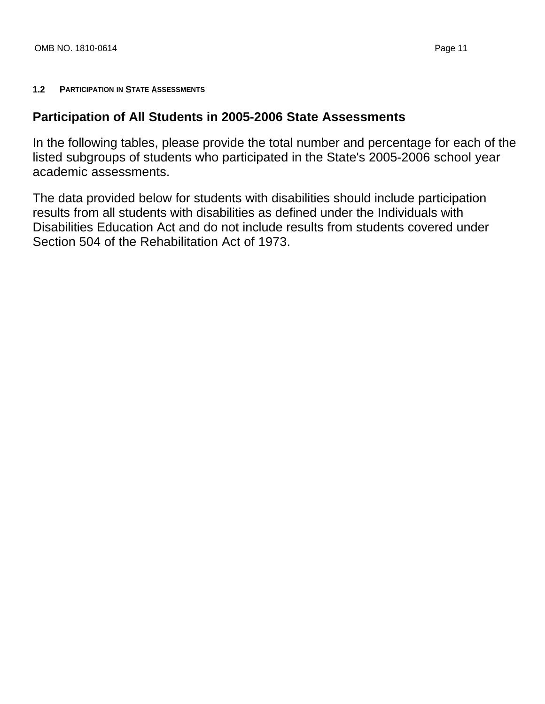# **1.2 PARTICIPATION IN STATE ASSESSMENTS**

# **Participation of All Students in 2005-2006 State Assessments**

In the following tables, please provide the total number and percentage for each of the listed subgroups of students who participated in the State's 2005-2006 school year academic assessments.

The data provided below for students with disabilities should include participation results from all students with disabilities as defined under the Individuals with Disabilities Education Act and do not include results from students covered under Section 504 of the Rehabilitation Act of 1973.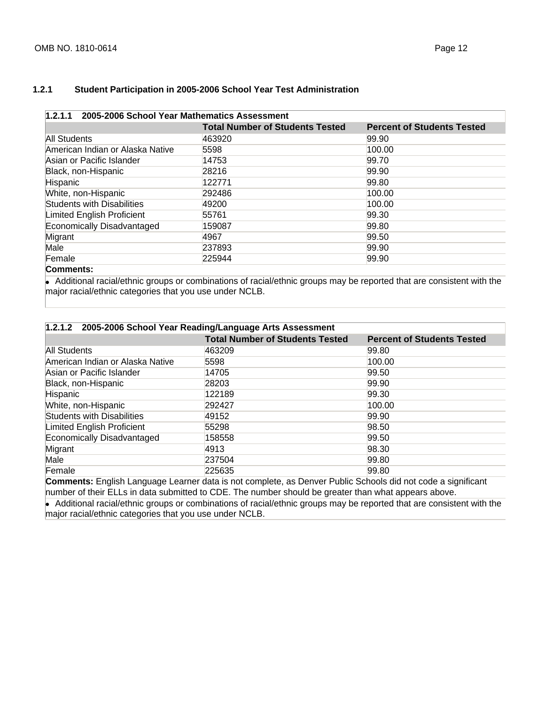### **1.2.1 Student Participation in 2005-2006 School Year Test Administration**

# **1.2.1.1 2005-2006 School Year Mathematics Assessment**

|                                   | <b>Total Number of Students Tested</b> | <b>Percent of Students Tested</b> |
|-----------------------------------|----------------------------------------|-----------------------------------|
| All Students                      | 463920                                 | 99.90                             |
| American Indian or Alaska Native  | 5598                                   | 100.00                            |
| Asian or Pacific Islander         | 14753                                  | 99.70                             |
| Black, non-Hispanic               | 28216                                  | 99.90                             |
| Hispanic                          | 122771                                 | 99.80                             |
| White, non-Hispanic               | 292486                                 | 100.00                            |
| <b>Students with Disabilities</b> | 49200                                  | 100.00                            |
| Limited English Proficient        | 55761                                  | 99.30                             |
| Economically Disadvantaged        | 159087                                 | 99.80                             |
| Migrant                           | 4967                                   | 99.50                             |
| Male                              | 237893                                 | 99.90                             |
| Female                            | 225944                                 | 99.90                             |
| $C$ ommonte:                      |                                        |                                   |

#### **Comments:**

• Additional racial/ethnic groups or combinations of racial/ethnic groups may be reported that are consistent with the major racial/ethnic categories that you use under NCLB.

| 1.2.1.2 2005-2006 School Year Reading/Language Arts Assessment |                                                                                   |                                   |
|----------------------------------------------------------------|-----------------------------------------------------------------------------------|-----------------------------------|
|                                                                | <b>Total Number of Students Tested</b>                                            | <b>Percent of Students Tested</b> |
| All Students                                                   | 463209                                                                            | 99.80                             |
| American Indian or Alaska Native                               | 5598                                                                              | 100.00                            |
| Asian or Pacific Islander                                      | 14705                                                                             | 99.50                             |
| Black, non-Hispanic                                            | 28203                                                                             | 99.90                             |
| Hispanic                                                       | 122189                                                                            | 99.30                             |
| White, non-Hispanic                                            | 292427                                                                            | 100.00                            |
| Students with Disabilities                                     | 49152                                                                             | 99.90                             |
| Limited English Proficient                                     | 55298                                                                             | 98.50                             |
| Economically Disadvantaged                                     | 158558                                                                            | 99.50                             |
| Migrant                                                        | 4913                                                                              | 98.30                             |
| Male                                                           | 237504                                                                            | 99.80                             |
| Female                                                         | 225635                                                                            | 99.80                             |
| $\Omega$ a monopolar $\Gamma$ a allah tuan ang ang tuang ang   | shaka ta wake ama laka ya Damuran Dublia Cabaala shi wake a shekara kina iliyo nk |                                   |

**Comments:** English Language Learner data is not complete, as Denver Public Schools did not code a significant number of their ELLs in data submitted to CDE. The number should be greater than what appears above.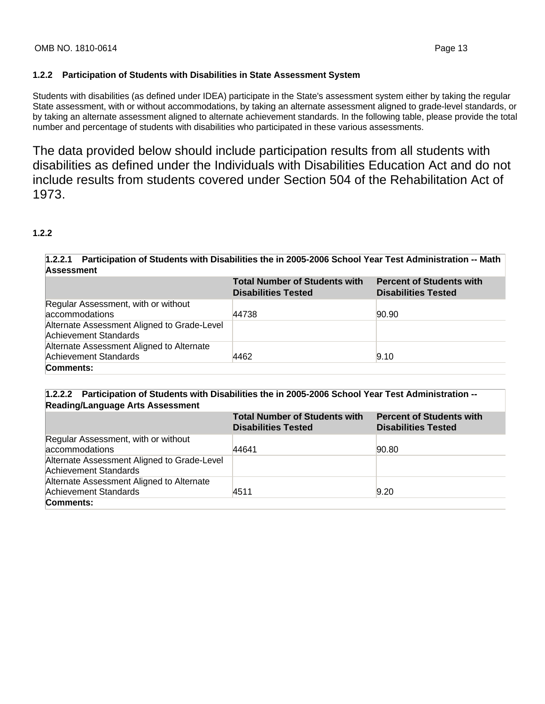### **1.2.2 Participation of Students with Disabilities in State Assessment System**

Students with disabilities (as defined under IDEA) participate in the State's assessment system either by taking the regular State assessment, with or without accommodations, by taking an alternate assessment aligned to grade-level standards, or by taking an alternate assessment aligned to alternate achievement standards. In the following table, please provide the total number and percentage of students with disabilities who participated in these various assessments.

The data provided below should include participation results from all students with disabilities as defined under the Individuals with Disabilities Education Act and do not include results from students covered under Section 504 of the Rehabilitation Act of 1973.

## **1.2.2**

### **1.2.2.1 Participation of Students with Disabilities the in 2005-2006 School Year Test Administration -- Math Assessment**

|                                                                      | <b>Total Number of Students with</b><br><b>Disabilities Tested</b> | <b>Percent of Students with</b><br><b>Disabilities Tested</b> |
|----------------------------------------------------------------------|--------------------------------------------------------------------|---------------------------------------------------------------|
| Regular Assessment, with or without<br>accommodations                | 44738                                                              | 90.90                                                         |
| Alternate Assessment Aligned to Grade-Level<br>Achievement Standards |                                                                    |                                                               |
| Alternate Assessment Aligned to Alternate<br>Achievement Standards   | 4462                                                               | 9.10                                                          |
| Comments:                                                            |                                                                    |                                                               |

### **1.2.2.2 Participation of Students with Disabilities the in 2005-2006 School Year Test Administration -- Reading/Language Arts Assessment**

|                                                                      | <b>Total Number of Students with</b><br><b>Disabilities Tested</b> | <b>Percent of Students with</b><br><b>Disabilities Tested</b> |
|----------------------------------------------------------------------|--------------------------------------------------------------------|---------------------------------------------------------------|
| Regular Assessment, with or without<br>accommodations                | 44641                                                              | 90.80                                                         |
| Alternate Assessment Aligned to Grade-Level<br>Achievement Standards |                                                                    |                                                               |
| Alternate Assessment Aligned to Alternate<br>Achievement Standards   | 4511                                                               | 9.20                                                          |
| Comments:                                                            |                                                                    |                                                               |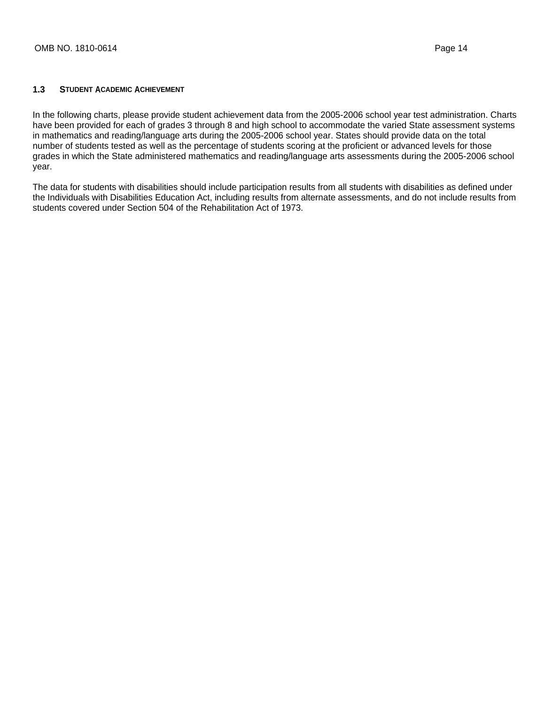#### **1.3 STUDENT ACADEMIC ACHIEVEMENT**

In the following charts, please provide student achievement data from the 2005-2006 school year test administration. Charts have been provided for each of grades 3 through 8 and high school to accommodate the varied State assessment systems in mathematics and reading/language arts during the 2005-2006 school year. States should provide data on the total number of students tested as well as the percentage of students scoring at the proficient or advanced levels for those grades in which the State administered mathematics and reading/language arts assessments during the 2005-2006 school year.

The data for students with disabilities should include participation results from all students with disabilities as defined under the Individuals with Disabilities Education Act, including results from alternate assessments, and do not include results from students covered under Section 504 of the Rehabilitation Act of 1973.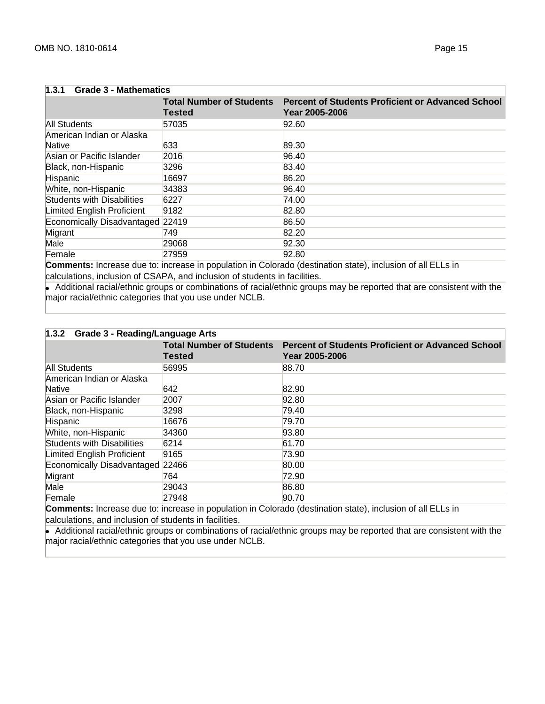| <b>Grade 3 - Mathematics</b><br>1.3.1 |                                                  |                                                                            |
|---------------------------------------|--------------------------------------------------|----------------------------------------------------------------------------|
|                                       | <b>Total Number of Students</b><br><b>Tested</b> | <b>Percent of Students Proficient or Advanced School</b><br>Year 2005-2006 |
| All Students                          | 57035                                            | 92.60                                                                      |
| American Indian or Alaska<br>Native   | 633                                              | 89.30                                                                      |
| Asian or Pacific Islander             | 2016                                             | 96.40                                                                      |
| Black, non-Hispanic                   | 3296                                             | 83.40                                                                      |
| Hispanic                              | 16697                                            | 86.20                                                                      |
| White, non-Hispanic                   | 34383                                            | 96.40                                                                      |
| <b>Students with Disabilities</b>     | 6227                                             | 74.00                                                                      |
| Limited English Proficient            | 9182                                             | 82.80                                                                      |
| Economically Disadvantaged 22419      |                                                  | 86.50                                                                      |
| Migrant                               | 749                                              | 82.20                                                                      |
| Male                                  | 29068                                            | 92.30                                                                      |
| Female                                | 27959                                            | 92.80                                                                      |

**Comments:** Increase due to: increase in population in Colorado (destination state), inclusion of all ELLs in calculations, inclusion of CSAPA, and inclusion of students in facilities.

• Additional racial/ethnic groups or combinations of racial/ethnic groups may be reported that are consistent with the major racial/ethnic categories that you use under NCLB.

| 1.3.2 Grade 3 - Reading/Language Arts |               |                                                                                                                                                                                                                                               |
|---------------------------------------|---------------|-----------------------------------------------------------------------------------------------------------------------------------------------------------------------------------------------------------------------------------------------|
|                                       | <b>Tested</b> | Total Number of Students Percent of Students Proficient or Advanced School<br>Year 2005-2006                                                                                                                                                  |
| All Students                          | 56995         | 88.70                                                                                                                                                                                                                                         |
| American Indian or Alaska<br>Native   | 642           | 82.90                                                                                                                                                                                                                                         |
| Asian or Pacific Islander             | 2007          | 92.80                                                                                                                                                                                                                                         |
| Black, non-Hispanic                   | 3298          | 79.40                                                                                                                                                                                                                                         |
| Hispanic                              | 16676         | 79.70                                                                                                                                                                                                                                         |
| White, non-Hispanic                   | 34360         | 93.80                                                                                                                                                                                                                                         |
| <b>Students with Disabilities</b>     | 6214          | 61.70                                                                                                                                                                                                                                         |
| Limited English Proficient            | 9165          | 73.90                                                                                                                                                                                                                                         |
| Economically Disadvantaged 22466      |               | 80.00                                                                                                                                                                                                                                         |
| Migrant                               | 764           | 72.90                                                                                                                                                                                                                                         |
| Male                                  | 29043         | 86.80                                                                                                                                                                                                                                         |
| Female                                | 27948         | 90.70<br>$\sim$ . The contract of the contract of the contract of the contract of the contract of the contract of the contract of the contract of the contract of the contract of the contract of the contract of the contract of the co<br>. |

**Comments:** Increase due to: increase in population in Colorado (destination state), inclusion of all ELLs in calculations, and inclusion of students in facilities.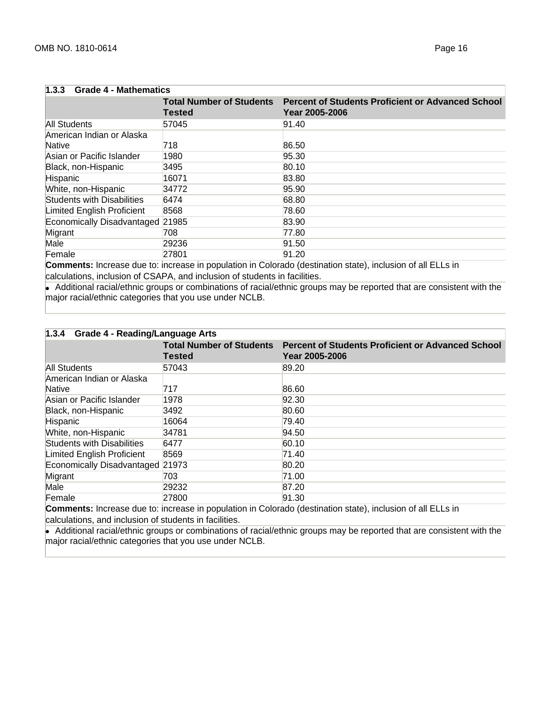| $\vert 1.3.3$ Grade 4 - Mathematics |                                                  |                                                                            |
|-------------------------------------|--------------------------------------------------|----------------------------------------------------------------------------|
|                                     | <b>Total Number of Students</b><br><b>Tested</b> | <b>Percent of Students Proficient or Advanced School</b><br>Year 2005-2006 |
| All Students                        | 57045                                            | 91.40                                                                      |
| American Indian or Alaska<br>Native | 718                                              | 86.50                                                                      |
| Asian or Pacific Islander           | 1980                                             | 95.30                                                                      |
| Black, non-Hispanic                 | 3495                                             | 80.10                                                                      |
| Hispanic                            | 16071                                            | 83.80                                                                      |
| White, non-Hispanic                 | 34772                                            | 95.90                                                                      |
| <b>Students with Disabilities</b>   | 6474                                             | 68.80                                                                      |
| Limited English Proficient          | 8568                                             | 78.60                                                                      |
| Economically Disadvantaged 21985    |                                                  | 83.90                                                                      |
| Migrant                             | 708                                              | 77.80                                                                      |
| Male                                | 29236                                            | 91.50                                                                      |
| Female                              | 27801                                            | 91.20                                                                      |

**Comments:** Increase due to: increase in population in Colorado (destination state), inclusion of all ELLs in calculations, inclusion of CSAPA, and inclusion of students in facilities.

• Additional racial/ethnic groups or combinations of racial/ethnic groups may be reported that are consistent with the major racial/ethnic categories that you use under NCLB.

| 1.3.4 Grade 4 - Reading/Language Arts |               |                                                                                                                                                                                                                                               |
|---------------------------------------|---------------|-----------------------------------------------------------------------------------------------------------------------------------------------------------------------------------------------------------------------------------------------|
|                                       | <b>Tested</b> | Total Number of Students Percent of Students Proficient or Advanced School<br>Year 2005-2006                                                                                                                                                  |
| All Students                          | 57043         | 89.20                                                                                                                                                                                                                                         |
| American Indian or Alaska<br>Native   | 717           | 86.60                                                                                                                                                                                                                                         |
| Asian or Pacific Islander             | 1978          | 92.30                                                                                                                                                                                                                                         |
| Black, non-Hispanic                   | 3492          | 80.60                                                                                                                                                                                                                                         |
| Hispanic                              | 16064         | 79.40                                                                                                                                                                                                                                         |
| White, non-Hispanic                   | 34781         | 94.50                                                                                                                                                                                                                                         |
| <b>Students with Disabilities</b>     | 6477          | 60.10                                                                                                                                                                                                                                         |
| Limited English Proficient            | 8569          | 71.40                                                                                                                                                                                                                                         |
| Economically Disadvantaged 21973      |               | 80.20                                                                                                                                                                                                                                         |
| Migrant                               | 703           | 71.00                                                                                                                                                                                                                                         |
| Male                                  | 29232         | 87.20                                                                                                                                                                                                                                         |
| Female                                | 27800         | 91.30<br>$\sim$ . The contract of the contract of the contract of the contract of the contract of the contract of the contract of the contract of the contract of the contract of the contract of the contract of the contract of the co<br>. |

**Comments:** Increase due to: increase in population in Colorado (destination state), inclusion of all ELLs in calculations, and inclusion of students in facilities.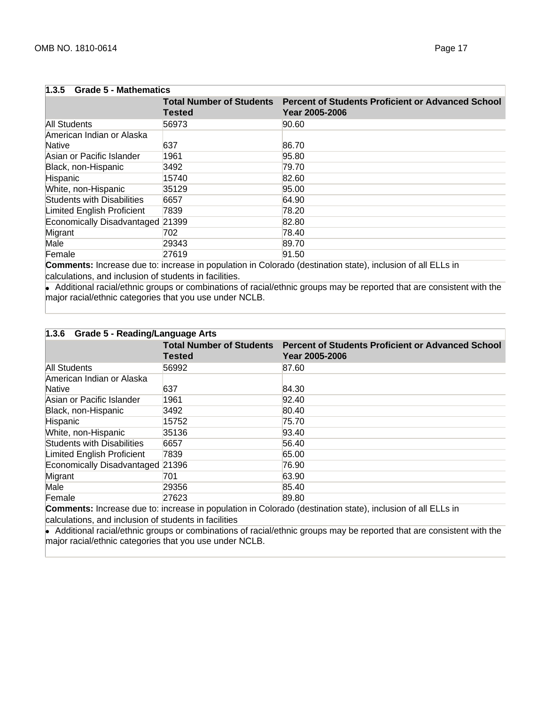| <b>Grade 5 - Mathematics</b><br>1.3.5 |                                                  |                                                                            |
|---------------------------------------|--------------------------------------------------|----------------------------------------------------------------------------|
|                                       | <b>Total Number of Students</b><br><b>Tested</b> | <b>Percent of Students Proficient or Advanced School</b><br>Year 2005-2006 |
| All Students                          | 56973                                            | 90.60                                                                      |
| American Indian or Alaska<br>Native   | 637                                              | 86.70                                                                      |
| Asian or Pacific Islander             | 1961                                             | 95.80                                                                      |
| Black, non-Hispanic                   | 3492                                             | 79.70                                                                      |
| Hispanic                              | 15740                                            | 82.60                                                                      |
| White, non-Hispanic                   | 35129                                            | 95.00                                                                      |
| Students with Disabilities            | 6657                                             | 64.90                                                                      |
| Limited English Proficient            | 7839                                             | 78.20                                                                      |
| Economically Disadvantaged 21399      |                                                  | 82.80                                                                      |
| Migrant                               | 702                                              | 78.40                                                                      |
| Male                                  | 29343                                            | 89.70                                                                      |
| Female                                | 27619                                            | 91.50                                                                      |

**Comments:** Increase due to: increase in population in Colorado (destination state), inclusion of all ELLs in calculations, and inclusion of students in facilities.

• Additional racial/ethnic groups or combinations of racial/ethnic groups may be reported that are consistent with the major racial/ethnic categories that you use under NCLB.

| 1.3.6 Grade 5 - Reading/Language Arts |                                                     |                                                                                              |
|---------------------------------------|-----------------------------------------------------|----------------------------------------------------------------------------------------------|
|                                       | <b>Tested</b>                                       | Total Number of Students Percent of Students Proficient or Advanced School<br>Year 2005-2006 |
| All Students                          | 56992                                               | 87.60                                                                                        |
| American Indian or Alaska<br>Native   | 637                                                 | 84.30                                                                                        |
| Asian or Pacific Islander             | 1961                                                | 92.40                                                                                        |
| Black, non-Hispanic                   | 3492                                                | 80.40                                                                                        |
| Hispanic                              | 15752                                               | 75.70                                                                                        |
| White, non-Hispanic                   | 35136                                               | 93.40                                                                                        |
| <b>Students with Disabilities</b>     | 6657                                                | 56.40                                                                                        |
| Limited English Proficient            | 7839                                                | 65.00                                                                                        |
| Economically Disadvantaged 21396      |                                                     | 76.90                                                                                        |
| Migrant                               | 701                                                 | 63.90                                                                                        |
| Male                                  | 29356                                               | 85.40                                                                                        |
| Female                                | 27623<br><b>Contract Contract Contract Contract</b> | 89.80<br>$\sim$ $\sim$ $\sim$ $\sim$                                                         |

**Comments:** Increase due to: increase in population in Colorado (destination state), inclusion of all ELLs in calculations, and inclusion of students in facilities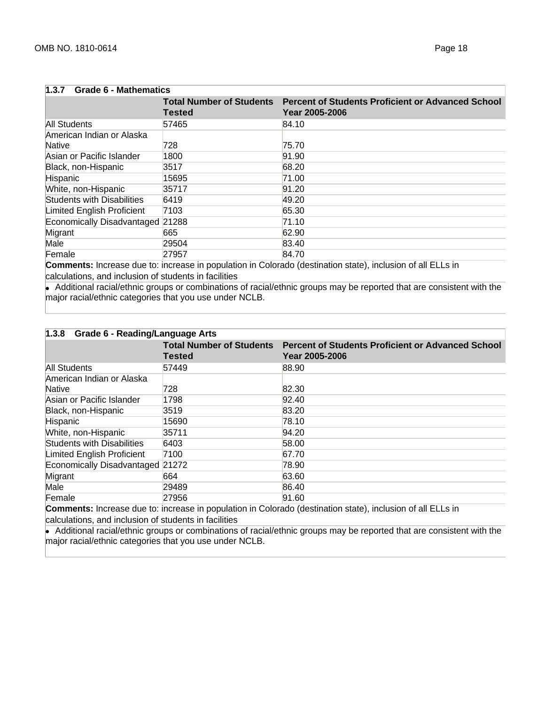| 1.3.7<br><b>Grade 6 - Mathematics</b> |        |                                                                                                     |
|---------------------------------------|--------|-----------------------------------------------------------------------------------------------------|
|                                       | Tested | <b>Total Number of Students Percent of Students Proficient or Advanced School</b><br>Year 2005-2006 |
| All Students                          | 57465  | 84.10                                                                                               |
| American Indian or Alaska<br>Native   | 728    | 75.70                                                                                               |
| Asian or Pacific Islander             | 1800   | 91.90                                                                                               |
| Black, non-Hispanic                   | 3517   | 68.20                                                                                               |
| Hispanic                              | 15695  | 71.00                                                                                               |
| White, non-Hispanic                   | 35717  | 91.20                                                                                               |
| <b>Students with Disabilities</b>     | 6419   | 49.20                                                                                               |
| Limited English Proficient            | 7103   | 65.30                                                                                               |
| Economically Disadvantaged 21288      |        | 71.10                                                                                               |
| Migrant                               | 665    | 62.90                                                                                               |
| Male                                  | 29504  | 83.40                                                                                               |
| Female                                | 27957  | 84.70                                                                                               |

**Comments:** Increase due to: increase in population in Colorado (destination state), inclusion of all ELLs in calculations, and inclusion of students in facilities

• Additional racial/ethnic groups or combinations of racial/ethnic groups may be reported that are consistent with the major racial/ethnic categories that you use under NCLB.

| 1.3.8 Grade 6 - Reading/Language Arts |                                                     |                                                                                              |  |
|---------------------------------------|-----------------------------------------------------|----------------------------------------------------------------------------------------------|--|
|                                       | <b>Tested</b>                                       | Total Number of Students Percent of Students Proficient or Advanced School<br>Year 2005-2006 |  |
| All Students                          | 57449                                               | 88.90                                                                                        |  |
| American Indian or Alaska<br>Native   | 728                                                 | 82.30                                                                                        |  |
| Asian or Pacific Islander             | 1798                                                | 92.40                                                                                        |  |
| Black, non-Hispanic                   | 3519                                                | 83.20                                                                                        |  |
| Hispanic                              | 15690                                               | 78.10                                                                                        |  |
| White, non-Hispanic                   | 35711                                               | 94.20                                                                                        |  |
| <b>Students with Disabilities</b>     | 6403                                                | 58.00                                                                                        |  |
| Limited English Proficient            | 7100                                                | 67.70                                                                                        |  |
| Economically Disadvantaged 21272      |                                                     | 78.90                                                                                        |  |
| Migrant                               | 664                                                 | 63.60                                                                                        |  |
| Male                                  | 29489                                               | 86.40                                                                                        |  |
| Female                                | 27956<br><b>Contract Contract Contract Contract</b> | 91.60                                                                                        |  |

**Comments:** Increase due to: increase in population in Colorado (destination state), inclusion of all ELLs in calculations, and inclusion of students in facilities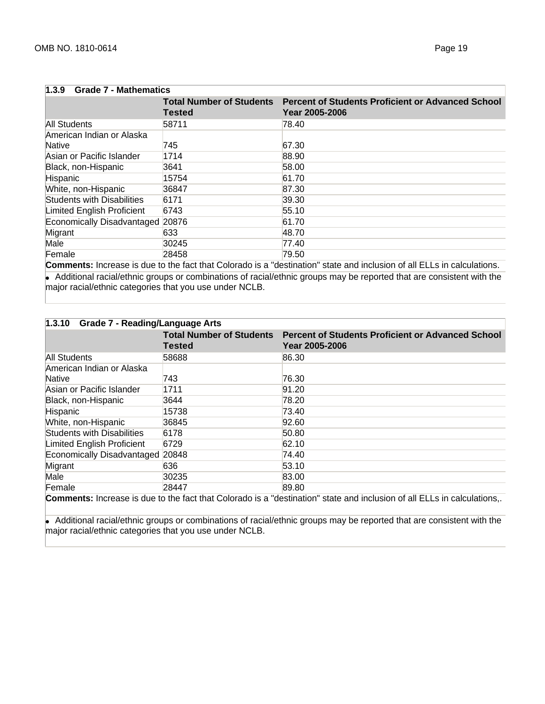| 1.3.9 Grade 7 - Mathematics         |                                                  |                                                                            |  |
|-------------------------------------|--------------------------------------------------|----------------------------------------------------------------------------|--|
|                                     | <b>Total Number of Students</b><br><b>Tested</b> | <b>Percent of Students Proficient or Advanced School</b><br>Year 2005-2006 |  |
| All Students                        | 58711                                            | 78.40                                                                      |  |
| American Indian or Alaska<br>Native | 745                                              | 67.30                                                                      |  |
| Asian or Pacific Islander           | 1714                                             | 88.90                                                                      |  |
| Black, non-Hispanic                 | 3641                                             | 58.00                                                                      |  |
| Hispanic                            | 15754                                            | 61.70                                                                      |  |
| White, non-Hispanic                 | 36847                                            | 87.30                                                                      |  |
| <b>Students with Disabilities</b>   | 6171                                             | 39.30                                                                      |  |
| Limited English Proficient          | 6743                                             | 55.10                                                                      |  |
| Economically Disadvantaged 20876    |                                                  | 61.70                                                                      |  |
| Migrant                             | 633                                              | 48.70                                                                      |  |
| Male                                | 30245                                            | 77.40                                                                      |  |
| Female                              | 28458                                            | 79.50                                                                      |  |

**Comments:** Increase is due to the fact that Colorado is a "destination" state and inclusion of all ELLs in calculations. ● Additional racial/ethnic groups or combinations of racial/ethnic groups may be reported that are consistent with the major racial/ethnic categories that you use under NCLB.

| 1.3.10<br><b>Grade 7 - Reading/Language Arts</b> |        |                                                                                              |  |
|--------------------------------------------------|--------|----------------------------------------------------------------------------------------------|--|
|                                                  | Tested | Total Number of Students Percent of Students Proficient or Advanced School<br>Year 2005-2006 |  |
| All Students                                     | 58688  | 86.30                                                                                        |  |
| American Indian or Alaska                        |        |                                                                                              |  |
| Native                                           | 743    | 76.30                                                                                        |  |
| Asian or Pacific Islander                        | 1711   | 91.20                                                                                        |  |
| Black, non-Hispanic                              | 3644   | 78.20                                                                                        |  |
| Hispanic                                         | 15738  | 73.40                                                                                        |  |
| White, non-Hispanic                              | 36845  | 92.60                                                                                        |  |
| Students with Disabilities                       | 6178   | 50.80                                                                                        |  |
| Limited English Proficient                       | 6729   | 62.10                                                                                        |  |
| Economically Disadvantaged 20848                 |        | 74.40                                                                                        |  |
| Migrant                                          | 636    | 53.10                                                                                        |  |
| Male                                             | 30235  | 83.00                                                                                        |  |
| Female                                           | 28447  | 89.80                                                                                        |  |

**Comments:** Increase is due to the fact that Colorado is a "destination" state and inclusion of all ELLs in calculations,.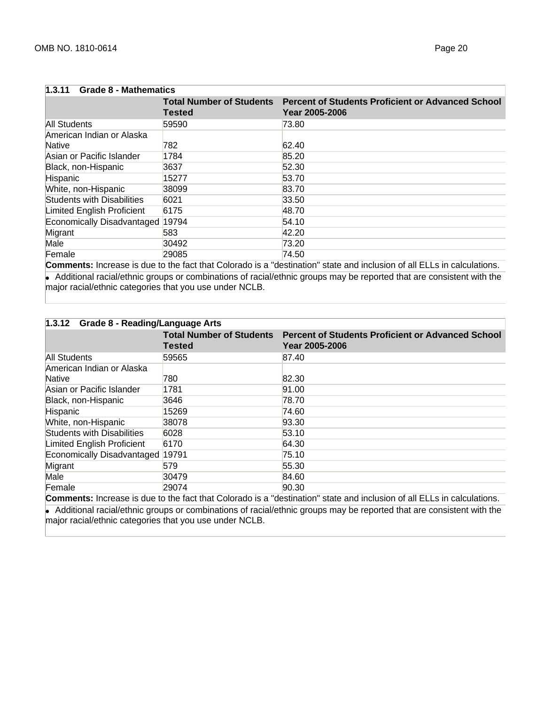| 1.3.11<br><b>Grade 8 - Mathematics</b> |               |                                                                                                     |  |
|----------------------------------------|---------------|-----------------------------------------------------------------------------------------------------|--|
|                                        | <b>Tested</b> | <b>Total Number of Students</b> Percent of Students Proficient or Advanced School<br>Year 2005-2006 |  |
| All Students                           | 59590         | 73.80                                                                                               |  |
| American Indian or Alaska<br>Native    | 782           | 62.40                                                                                               |  |
| Asian or Pacific Islander              | 1784          | 85.20                                                                                               |  |
| Black, non-Hispanic                    | 3637          | 52.30                                                                                               |  |
| Hispanic                               | 15277         | 53.70                                                                                               |  |
| White, non-Hispanic                    | 38099         | 83.70                                                                                               |  |
| <b>Students with Disabilities</b>      | 6021          | 33.50                                                                                               |  |
| Limited English Proficient             | 6175          | 48.70                                                                                               |  |
| Economically Disadvantaged 19794       |               | 54.10                                                                                               |  |
| Migrant                                | 583           | 42.20                                                                                               |  |
| Male                                   | 30492         | 73.20                                                                                               |  |
| Female                                 | 29085         | 74.50                                                                                               |  |

**Comments:** Increase is due to the fact that Colorado is a "destination" state and inclusion of all ELLs in calculations. ● Additional racial/ethnic groups or combinations of racial/ethnic groups may be reported that are consistent with the major racial/ethnic categories that you use under NCLB.

| 1.3.12 Grade 8 - Reading/Language Arts |        |                                                                                              |  |
|----------------------------------------|--------|----------------------------------------------------------------------------------------------|--|
|                                        | Tested | Total Number of Students Percent of Students Proficient or Advanced School<br>Year 2005-2006 |  |
| All Students                           | 59565  | 87.40                                                                                        |  |
| American Indian or Alaska              |        |                                                                                              |  |
| Native                                 | 780    | 82.30                                                                                        |  |
| Asian or Pacific Islander              | 1781   | 91.00                                                                                        |  |
| Black, non-Hispanic                    | 3646   | 78.70                                                                                        |  |
| Hispanic                               | 15269  | 74.60                                                                                        |  |
| White, non-Hispanic                    | 38078  | 93.30                                                                                        |  |
| <b>Students with Disabilities</b>      | 6028   | 53.10                                                                                        |  |
| Limited English Proficient             | 6170   | 64.30                                                                                        |  |
| Economically Disadvantaged 19791       |        | 75.10                                                                                        |  |
| Migrant                                | 579    | 55.30                                                                                        |  |
| Male                                   | 30479  | 84.60                                                                                        |  |
| Female                                 | 29074  | 90.30<br>.<br>.<br>.                                                                         |  |

**Comments:** Increase is due to the fact that Colorado is a "destination" state and inclusion of all ELLs in calculations.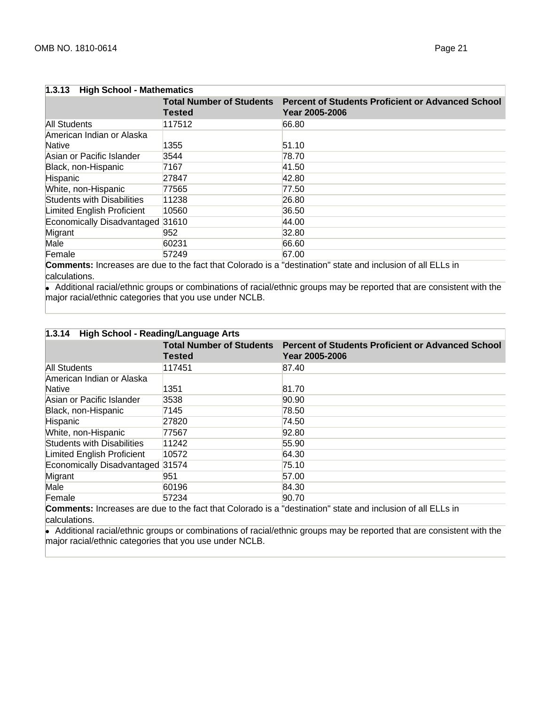| 1.3.13<br><b>High School - Mathematics</b> |                                                  |                                                                                                                                                                                                                                              |  |
|--------------------------------------------|--------------------------------------------------|----------------------------------------------------------------------------------------------------------------------------------------------------------------------------------------------------------------------------------------------|--|
|                                            | <b>Total Number of Students</b><br><b>Tested</b> | <b>Percent of Students Proficient or Advanced School</b><br>Year 2005-2006                                                                                                                                                                   |  |
| All Students                               | 117512                                           | 66.80                                                                                                                                                                                                                                        |  |
| American Indian or Alaska<br>Native        | 1355                                             | 51.10                                                                                                                                                                                                                                        |  |
| Asian or Pacific Islander                  | 3544                                             | 78.70                                                                                                                                                                                                                                        |  |
| Black, non-Hispanic                        | 7167                                             | 41.50                                                                                                                                                                                                                                        |  |
| Hispanic                                   | 27847                                            | 42.80                                                                                                                                                                                                                                        |  |
| White, non-Hispanic                        | 77565                                            | 77.50                                                                                                                                                                                                                                        |  |
| <b>Students with Disabilities</b>          | 11238                                            | 26.80                                                                                                                                                                                                                                        |  |
| Limited English Proficient                 | 10560                                            | 36.50                                                                                                                                                                                                                                        |  |
| Economically Disadvantaged 31610           |                                                  | 44.00                                                                                                                                                                                                                                        |  |
| Migrant                                    | 952                                              | 32.80                                                                                                                                                                                                                                        |  |
| Male                                       | 60231                                            | 66.60                                                                                                                                                                                                                                        |  |
| Female                                     | 57249                                            | 67.00<br>.<br>and the contract of the contract of the contract of the contract of the contract of the contract of the contract of the contract of the contract of the contract of the contract of the contract of the contract of the contra |  |

**Comments:** Increases are due to the fact that Colorado is a "destination" state and inclusion of all ELLs in calculations.

• Additional racial/ethnic groups or combinations of racial/ethnic groups may be reported that are consistent with the major racial/ethnic categories that you use under NCLB.

| 1.3.14 High School - Reading/Language Arts |                                                  |                                                                            |  |
|--------------------------------------------|--------------------------------------------------|----------------------------------------------------------------------------|--|
|                                            | <b>Total Number of Students</b><br><b>Tested</b> | <b>Percent of Students Proficient or Advanced School</b><br>Year 2005-2006 |  |
| All Students                               | 117451                                           | 87.40                                                                      |  |
| American Indian or Alaska                  |                                                  |                                                                            |  |
| Native                                     | 1351                                             | 81.70                                                                      |  |
| Asian or Pacific Islander                  | 3538                                             | 90.90                                                                      |  |
| Black, non-Hispanic                        | 7145                                             | 78.50                                                                      |  |
| Hispanic                                   | 27820                                            | 74.50                                                                      |  |
| White, non-Hispanic                        | 77567                                            | 92.80                                                                      |  |
| Students with Disabilities                 | 11242                                            | 55.90                                                                      |  |
| Limited English Proficient                 | 10572                                            | 64.30                                                                      |  |
| Economically Disadvantaged 31574           |                                                  | 75.10                                                                      |  |
| Migrant                                    | 951                                              | 57.00                                                                      |  |
| Male                                       | 60196                                            | 84.30                                                                      |  |
| Female                                     | 57234                                            | 90.70<br>.                                                                 |  |

**Comments:** Increases are due to the fact that Colorado is a "destination" state and inclusion of all ELLs in calculations.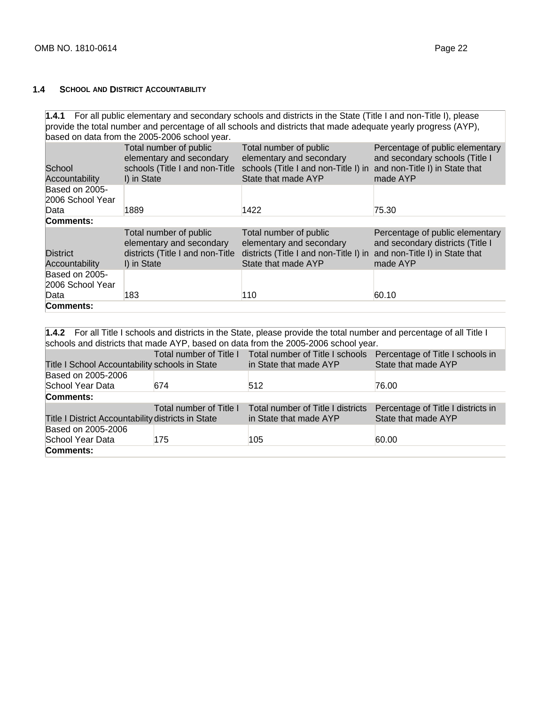# **1.4 SCHOOL AND DISTRICT ACCOUNTABILITY**

| 1.4.1 For all public elementary and secondary schools and districts in the State (Title I and non-Title I), please<br>provide the total number and percentage of all schools and districts that made adequate yearly progress (AYP),<br>based on data from the 2005-2006 school year.                                                                                                                                                                                                                                                             |                                                                                                       |                                                                                                                     |                                                                                                                   |  |
|---------------------------------------------------------------------------------------------------------------------------------------------------------------------------------------------------------------------------------------------------------------------------------------------------------------------------------------------------------------------------------------------------------------------------------------------------------------------------------------------------------------------------------------------------|-------------------------------------------------------------------------------------------------------|---------------------------------------------------------------------------------------------------------------------|-------------------------------------------------------------------------------------------------------------------|--|
| School<br><b>Accountability</b>                                                                                                                                                                                                                                                                                                                                                                                                                                                                                                                   | Total number of public<br>elementary and secondary<br>schools (Title I and non-Title<br>I) in State   | Total number of public<br>elementary and secondary<br>schools (Title I and non-Title I) in<br>State that made AYP   | Percentage of public elementary<br>and secondary schools (Title I<br>and non-Title I) in State that<br>made AYP   |  |
| Based on 2005-<br>2006 School Year<br>Data                                                                                                                                                                                                                                                                                                                                                                                                                                                                                                        | 1889                                                                                                  | 1422                                                                                                                | 75.30                                                                                                             |  |
| Comments:                                                                                                                                                                                                                                                                                                                                                                                                                                                                                                                                         |                                                                                                       |                                                                                                                     |                                                                                                                   |  |
| <b>District</b><br>Accountability                                                                                                                                                                                                                                                                                                                                                                                                                                                                                                                 | Total number of public<br>elementary and secondary<br>districts (Title I and non-Title<br>I) in State | Total number of public<br>elementary and secondary<br>districts (Title I and non-Title I) in<br>State that made AYP | Percentage of public elementary<br>and secondary districts (Title I<br>and non-Title I) in State that<br>made AYP |  |
| Based on 2005-<br>2006 School Year<br>60.10<br>110<br>Data<br>183                                                                                                                                                                                                                                                                                                                                                                                                                                                                                 |                                                                                                       |                                                                                                                     |                                                                                                                   |  |
| Comments:                                                                                                                                                                                                                                                                                                                                                                                                                                                                                                                                         |                                                                                                       |                                                                                                                     |                                                                                                                   |  |
|                                                                                                                                                                                                                                                                                                                                                                                                                                                                                                                                                   |                                                                                                       |                                                                                                                     |                                                                                                                   |  |
| 1.4.2 For all Title I schools and districts in the State, please provide the total number and percentage of all Title I<br>$\mathbf{1} \mathbf{1} \mathbf{1} \mathbf{1} \mathbf{1} \mathbf{1} \mathbf{1} \mathbf{1} \mathbf{1} \mathbf{1} \mathbf{1} \mathbf{1} \mathbf{1} \mathbf{1} \mathbf{1} \mathbf{1} \mathbf{1} \mathbf{1} \mathbf{1} \mathbf{1} \mathbf{1} \mathbf{1} \mathbf{1} \mathbf{1} \mathbf{1} \mathbf{1} \mathbf{1} \mathbf{1} \mathbf{1} \mathbf{1} \mathbf{1} \mathbf{1} \mathbf{1} \mathbf{1} \mathbf{1} \mathbf{1} \mathbf{$ |                                                                                                       |                                                                                                                     |                                                                                                                   |  |

| schools and districts that made AYP, based on data from the 2005-2006 school year. |                         |                                                                                          |                                    |  |  |
|------------------------------------------------------------------------------------|-------------------------|------------------------------------------------------------------------------------------|------------------------------------|--|--|
|                                                                                    |                         | Total number of Title I Total number of Title I schools Percentage of Title I schools in |                                    |  |  |
| Title I School Accountability schools in State                                     |                         | in State that made AYP                                                                   | State that made AYP                |  |  |
| Based on 2005-2006                                                                 |                         |                                                                                          |                                    |  |  |
| School Year Data                                                                   | 674                     | 512                                                                                      | 76.00                              |  |  |
| Comments:                                                                          |                         |                                                                                          |                                    |  |  |
|                                                                                    | Total number of Title I | Total number of Title I districts                                                        | Percentage of Title I districts in |  |  |
| Title I District Accountability districts in State                                 |                         | in State that made AYP                                                                   | State that made AYP                |  |  |
| Based on 2005-2006                                                                 |                         |                                                                                          |                                    |  |  |
| School Year Data                                                                   | 175                     | 105                                                                                      | 60.00                              |  |  |
| Comments:                                                                          |                         |                                                                                          |                                    |  |  |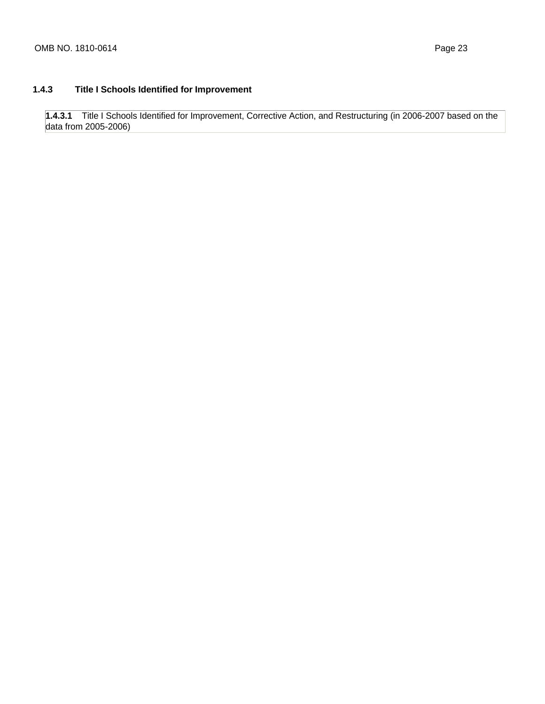# **1.4.3 Title I Schools Identified for Improvement**

**1.4.3.1** Title I Schools Identified for Improvement, Corrective Action, and Restructuring (in 2006-2007 based on the data from 2005-2006)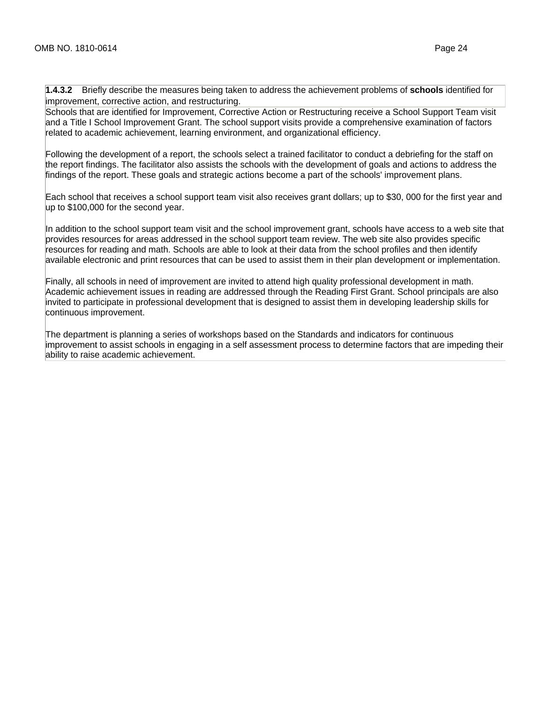**1.4.3.2** Briefly describe the measures being taken to address the achievement problems of **schools** identified for improvement, corrective action, and restructuring.

Schools that are identified for Improvement, Corrective Action or Restructuring receive a School Support Team visit and a Title I School Improvement Grant. The school support visits provide a comprehensive examination of factors related to academic achievement, learning environment, and organizational efficiency.

Following the development of a report, the schools select a trained facilitator to conduct a debriefing for the staff on the report findings. The facilitator also assists the schools with the development of goals and actions to address the findings of the report. These goals and strategic actions become a part of the schools' improvement plans.

Each school that receives a school support team visit also receives grant dollars; up to \$30, 000 for the first year and up to \$100,000 for the second year.

In addition to the school support team visit and the school improvement grant, schools have access to a web site that provides resources for areas addressed in the school support team review. The web site also provides specific resources for reading and math. Schools are able to look at their data from the school profiles and then identify available electronic and print resources that can be used to assist them in their plan development or implementation.

Finally, all schools in need of improvement are invited to attend high quality professional development in math. Academic achievement issues in reading are addressed through the Reading First Grant. School principals are also invited to participate in professional development that is designed to assist them in developing leadership skills for continuous improvement.

The department is planning a series of workshops based on the Standards and indicators for continuous improvement to assist schools in engaging in a self assessment process to determine factors that are impeding their ability to raise academic achievement.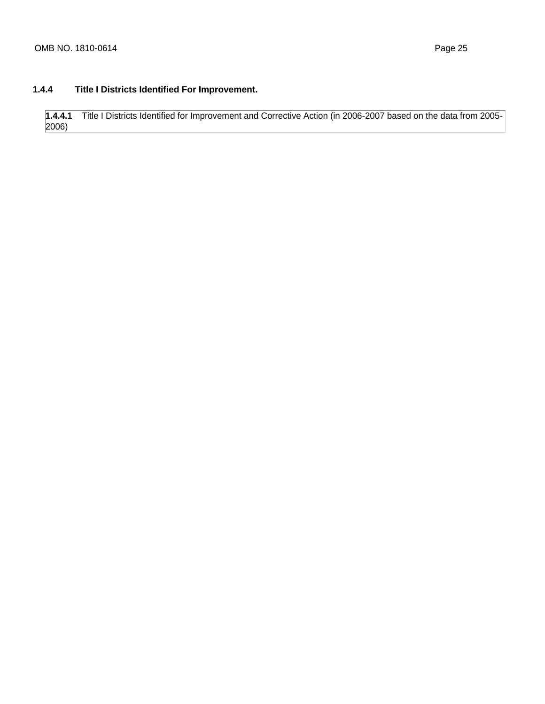# **1.4.4 Title I Districts Identified For Improvement.**

**1.4.4.1** Title I Districts Identified for Improvement and Corrective Action (in 2006-2007 based on the data from 2005- 2006)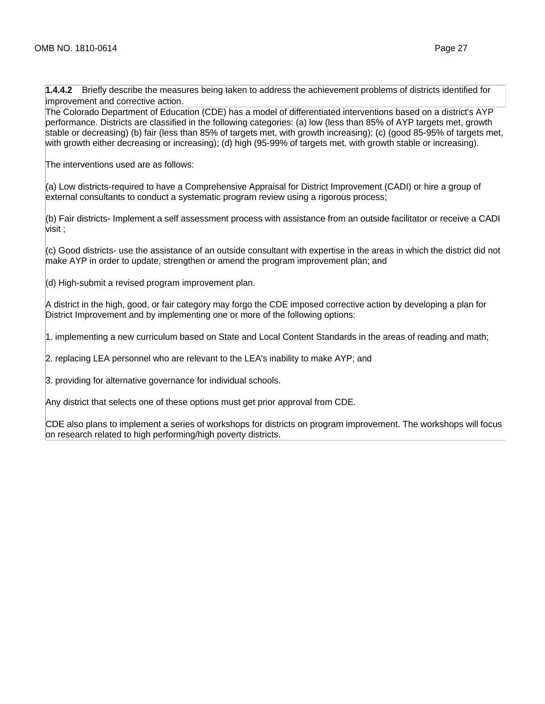**1.4.4.2** Briefly describe the measures being taken to address the achievement problems of districts identified for improvement and corrective action.

The Colorado Department of Education (CDE) has a model of differentiated interventions based on a district's AYP performance. Districts are classified in the following categories: (a) low (less than 85% of AYP targets met, growth stable or decreasing) (b) fair (less than 85% of targets met, with growth increasing); (c) (good 85-95% of targets met, with growth either decreasing or increasing); (d) high (95-99% of targets met, with growth stable or increasing).

The interventions used are as follows:

(a) Low districts-required to have a Comprehensive Appraisal for District Improvement (CADI) or hire a group of external consultants to conduct a systematic program review using a rigorous process;

(b) Fair districts- Implement a self assessment process with assistance from an outside facilitator or receive a CADI visit ;

(c) Good districts- use the assistance of an outside consultant with expertise in the areas in which the district did not make AYP in order to update, strengthen or amend the program improvement plan; and

(d) High-submit a revised program improvement plan.

A district in the high, good, or fair category may forgo the CDE imposed corrective action by developing a plan for District Improvement and by implementing one or more of the following options:

1. implementing a new curriculum based on State and Local Content Standards in the areas of reading and math;

2. replacing LEA personnel who are relevant to the LEA's inability to make AYP; and

3. providing for alternative governance for individual schools.

Any district that selects one of these options must get prior approval from CDE.

CDE also plans to implement a series of workshops for districts on program improvement. The workshops will focus on research related to high performing/high poverty districts.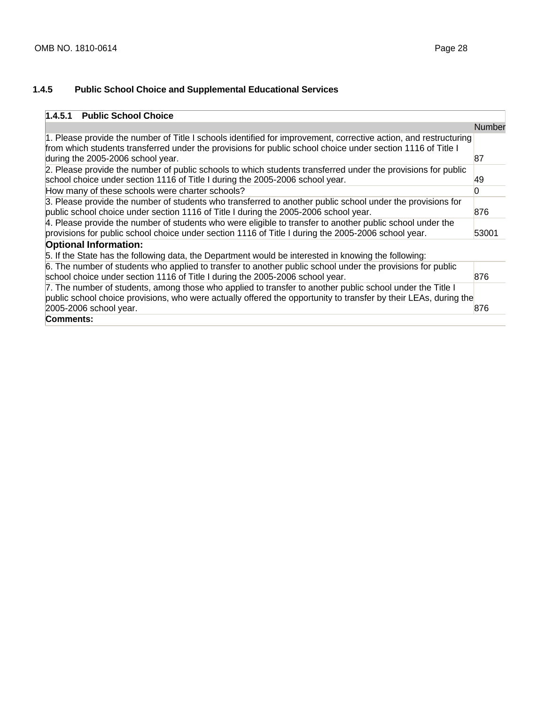# **1.4.5 Public School Choice and Supplemental Educational Services**

| <b>Public School Choice</b><br>1.4.5.1                                                                                                                                                                                                                               |        |
|----------------------------------------------------------------------------------------------------------------------------------------------------------------------------------------------------------------------------------------------------------------------|--------|
|                                                                                                                                                                                                                                                                      | Number |
| 1. Please provide the number of Title I schools identified for improvement, corrective action, and restructuring<br>from which students transferred under the provisions for public school choice under section 1116 of Title I<br>during the 2005-2006 school year. | 87     |
| 2. Please provide the number of public schools to which students transferred under the provisions for public<br>school choice under section 1116 of Title I during the 2005-2006 school year.                                                                        | 49     |
| How many of these schools were charter schools?                                                                                                                                                                                                                      |        |
| 3. Please provide the number of students who transferred to another public school under the provisions for<br>public school choice under section 1116 of Title I during the 2005-2006 school year.                                                                   | 876    |
| 4. Please provide the number of students who were eligible to transfer to another public school under the<br>provisions for public school choice under section 1116 of Title I during the 2005-2006 school year.                                                     | 53001  |
| <b>Optional Information:</b><br>5. If the State has the following data, the Department would be interested in knowing the following:                                                                                                                                 |        |
| 6. The number of students who applied to transfer to another public school under the provisions for public<br>school choice under section 1116 of Title I during the 2005-2006 school year.                                                                          | 876    |
| 7. The number of students, among those who applied to transfer to another public school under the Title I<br>public school choice provisions, who were actually offered the opportunity to transfer by their LEAs, during the<br>2005-2006 school year.              | 876    |
| Comments:                                                                                                                                                                                                                                                            |        |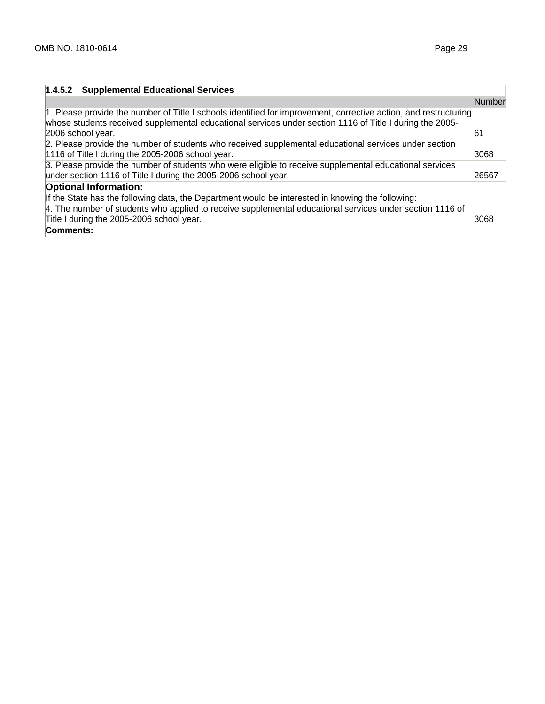| 1.4.5.2 Supplemental Educational Services                                                                                                                                                                                                         |               |
|---------------------------------------------------------------------------------------------------------------------------------------------------------------------------------------------------------------------------------------------------|---------------|
|                                                                                                                                                                                                                                                   | <b>Number</b> |
| 1. Please provide the number of Title I schools identified for improvement, corrective action, and restructuring<br>whose students received supplemental educational services under section 1116 of Title I during the 2005-<br>2006 school year. | 61            |
| 2. Please provide the number of students who received supplemental educational services under section<br>1116 of Title I during the 2005-2006 school year.                                                                                        | 3068          |
| 3. Please provide the number of students who were eligible to receive supplemental educational services<br>under section 1116 of Title I during the 2005-2006 school year.                                                                        | 26567         |
| <b>Optional Information:</b>                                                                                                                                                                                                                      |               |
| If the State has the following data, the Department would be interested in knowing the following:                                                                                                                                                 |               |
| 4. The number of students who applied to receive supplemental educational services under section 1116 of<br>Title I during the 2005-2006 school year.                                                                                             | 3068          |
| Comments:                                                                                                                                                                                                                                         |               |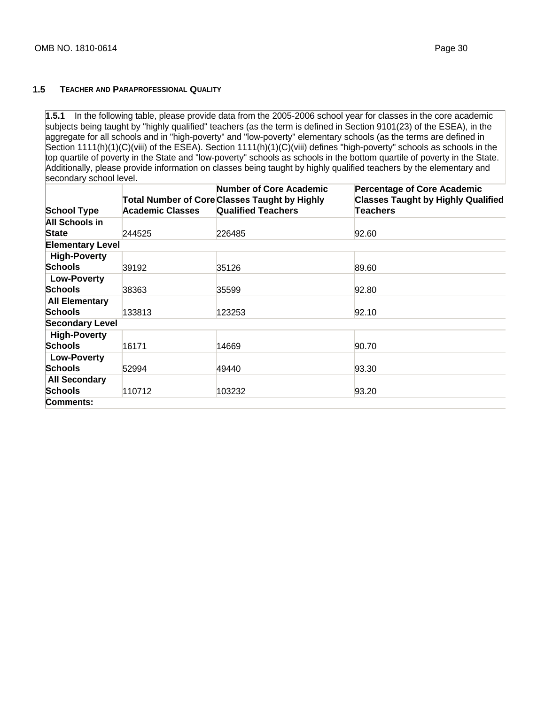#### **1.5 TEACHER AND PARAPROFESSIONAL QUALITY**

**1.5.1** In the following table, please provide data from the 2005-2006 school year for classes in the core academic subjects being taught by "highly qualified" teachers (as the term is defined in Section 9101(23) of the ESEA), in the aggregate for all schools and in "high-poverty" and "low-poverty" elementary schools (as the terms are defined in Section 1111(h)(1)(C)(viii) of the  $\overline{ESE}$ A). Section 1111(h)(1)(C)(viii) defines "high-poverty" schools as schools in the top quartile of poverty in the State and "low-poverty" schools as schools in the bottom quartile of poverty in the State. Additionally, please provide information on classes being taught by highly qualified teachers by the elementary and secondary school level.

| <b>School Type</b>      | <b>Academic Classes</b> | <b>Number of Core Academic</b><br><b>Total Number of Core Classes Taught by Highly</b><br><b>Qualified Teachers</b> | <b>Percentage of Core Academic</b><br><b>Classes Taught by Highly Qualified</b><br>Teachers |
|-------------------------|-------------------------|---------------------------------------------------------------------------------------------------------------------|---------------------------------------------------------------------------------------------|
| All Schools in          |                         |                                                                                                                     |                                                                                             |
| State                   | 244525                  | 226485                                                                                                              | 92.60                                                                                       |
| <b>Elementary Level</b> |                         |                                                                                                                     |                                                                                             |
| <b>High-Poverty</b>     |                         |                                                                                                                     |                                                                                             |
| <b>Schools</b>          | 39192                   | 35126                                                                                                               | 89.60                                                                                       |
| <b>Low-Poverty</b>      |                         |                                                                                                                     |                                                                                             |
| <b>Schools</b>          | 38363                   | 35599                                                                                                               | 92.80                                                                                       |
| <b>All Elementary</b>   |                         |                                                                                                                     |                                                                                             |
| <b>Schools</b>          | 133813                  | 123253                                                                                                              | 92.10                                                                                       |
| <b>Secondary Level</b>  |                         |                                                                                                                     |                                                                                             |
| <b>High-Poverty</b>     |                         |                                                                                                                     |                                                                                             |
| <b>Schools</b>          | 16171                   | 14669                                                                                                               | 90.70                                                                                       |
| <b>Low-Poverty</b>      |                         |                                                                                                                     |                                                                                             |
| <b>Schools</b>          | 52994                   | 49440                                                                                                               | 93.30                                                                                       |
| <b>All Secondary</b>    |                         |                                                                                                                     |                                                                                             |
| <b>Schools</b>          | 110712                  | 103232                                                                                                              | 93.20                                                                                       |
| Comments:               |                         |                                                                                                                     |                                                                                             |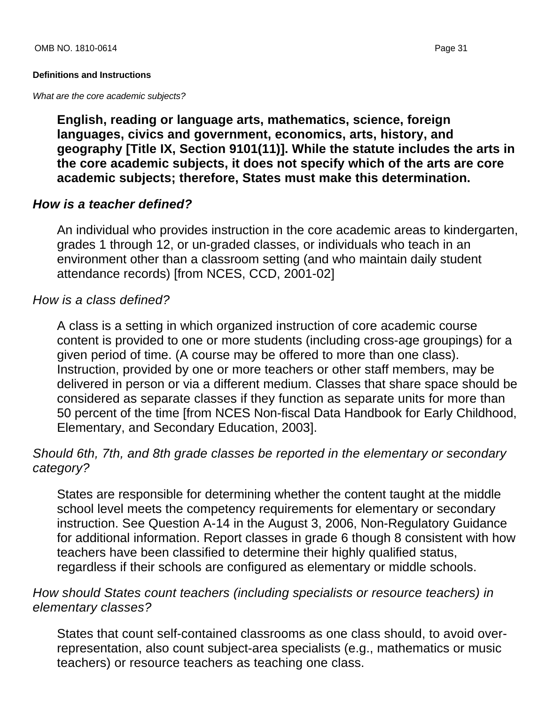# **Definitions and Instructions**

What are the core academic subjects?

**English, reading or language arts, mathematics, science, foreign languages, civics and government, economics, arts, history, and geography [Title IX, Section 9101(11)]. While the statute includes the arts in the core academic subjects, it does not specify which of the arts are core academic subjects; therefore, States must make this determination.**

# **How is a teacher defined?**

An individual who provides instruction in the core academic areas to kindergarten, grades 1 through 12, or un-graded classes, or individuals who teach in an environment other than a classroom setting (and who maintain daily student attendance records) [from NCES, CCD, 2001-02]

# How is a class defined?

A class is a setting in which organized instruction of core academic course content is provided to one or more students (including cross-age groupings) for a given period of time. (A course may be offered to more than one class). Instruction, provided by one or more teachers or other staff members, may be delivered in person or via a different medium. Classes that share space should be considered as separate classes if they function as separate units for more than 50 percent of the time [from NCES Non-fiscal Data Handbook for Early Childhood, Elementary, and Secondary Education, 2003].

# Should 6th, 7th, and 8th grade classes be reported in the elementary or secondary category?

States are responsible for determining whether the content taught at the middle school level meets the competency requirements for elementary or secondary instruction. See Question A-14 in the August 3, 2006, Non-Regulatory Guidance for additional information. Report classes in grade 6 though 8 consistent with how teachers have been classified to determine their highly qualified status, regardless if their schools are configured as elementary or middle schools.

# How should States count teachers (including specialists or resource teachers) in elementary classes?

States that count self-contained classrooms as one class should, to avoid overrepresentation, also count subject-area specialists (e.g., mathematics or music teachers) or resource teachers as teaching one class.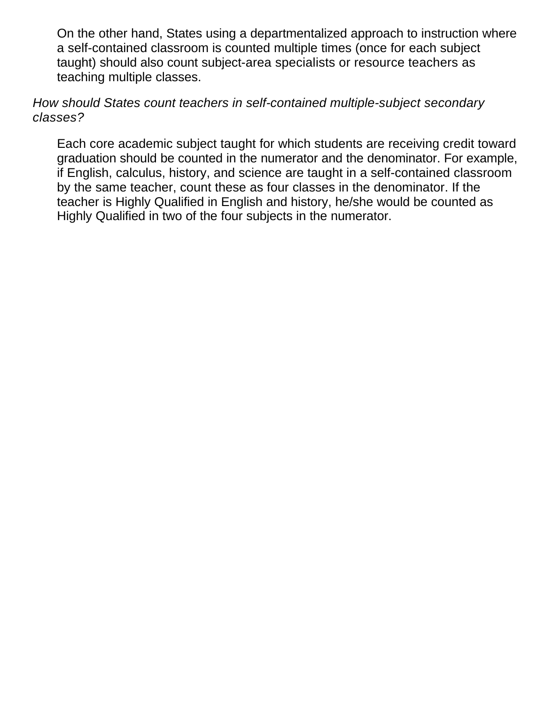On the other hand, States using a departmentalized approach to instruction where a self-contained classroom is counted multiple times (once for each subject taught) should also count subject-area specialists or resource teachers as teaching multiple classes.

How should States count teachers in self-contained multiple-subject secondary classes?

Each core academic subject taught for which students are receiving credit toward graduation should be counted in the numerator and the denominator. For example, if English, calculus, history, and science are taught in a self-contained classroom by the same teacher, count these as four classes in the denominator. If the teacher is Highly Qualified in English and history, he/she would be counted as Highly Qualified in two of the four subjects in the numerator.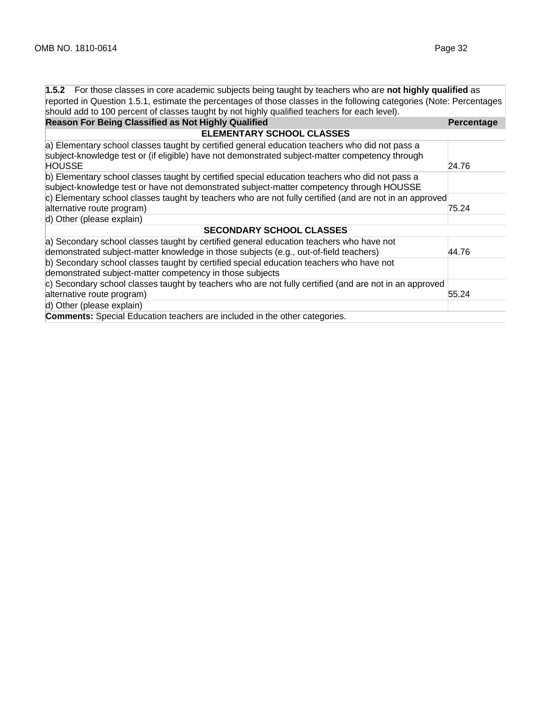| 1.5.2 For those classes in core academic subjects being taught by teachers who are not highly qualified as           |                   |
|----------------------------------------------------------------------------------------------------------------------|-------------------|
| reported in Question 1.5.1, estimate the percentages of those classes in the following categories (Note: Percentages |                   |
| should add to 100 percent of classes taught by not highly qualified teachers for each level).                        |                   |
| <b>Reason For Being Classified as Not Highly Qualified</b>                                                           | <b>Percentage</b> |
| <b>ELEMENTARY SCHOOL CLASSES</b>                                                                                     |                   |
| a) Elementary school classes taught by certified general education teachers who did not pass a                       |                   |
| subject-knowledge test or (if eligible) have not demonstrated subject-matter competency through                      |                   |
| <b>HOUSSE</b>                                                                                                        | 24.76             |
| b) Elementary school classes taught by certified special education teachers who did not pass a                       |                   |
| subject-knowledge test or have not demonstrated subject-matter competency through HOUSSE                             |                   |
| c) Elementary school classes taught by teachers who are not fully certified (and are not in an approved              |                   |
| alternative route program)                                                                                           | 75.24             |
| d) Other (please explain)                                                                                            |                   |
| <b>SECONDARY SCHOOL CLASSES</b>                                                                                      |                   |
| a) Secondary school classes taught by certified general education teachers who have not                              |                   |
| demonstrated subject-matter knowledge in those subjects (e.g., out-of-field teachers)                                | 44.76             |
| b) Secondary school classes taught by certified special education teachers who have not                              |                   |
| demonstrated subject-matter competency in those subjects                                                             |                   |
| c) Secondary school classes taught by teachers who are not fully certified (and are not in an approved               |                   |
| alternative route program)                                                                                           | 55.24             |
| d) Other (please explain)                                                                                            |                   |
| <b>Comments:</b> Special Education teachers are included in the other categories.                                    |                   |
|                                                                                                                      |                   |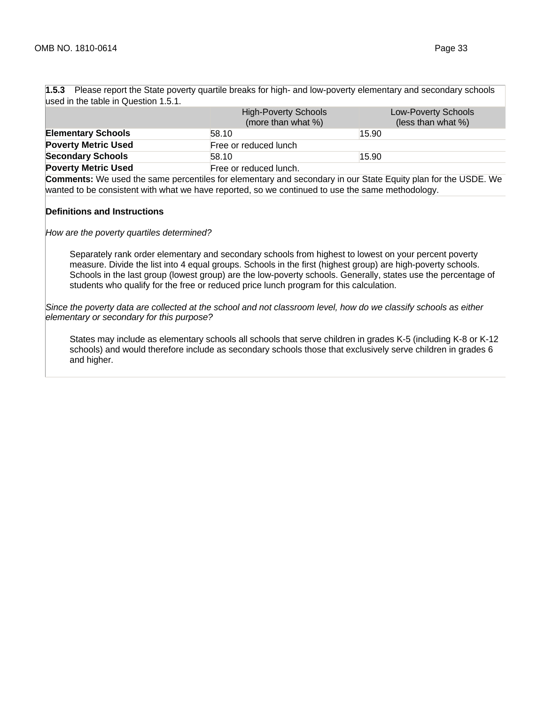| used in the table in Question 1.5.1. |                                                   |                                           |
|--------------------------------------|---------------------------------------------------|-------------------------------------------|
|                                      | <b>High-Poverty Schools</b><br>(more than what %) | Low-Poverty Schools<br>(less than what %) |
| <b>Elementary Schools</b>            | 58.10                                             | 15.90                                     |
| <b>Poverty Metric Used</b>           | Free or reduced lunch                             |                                           |
| <b>Secondary Schools</b>             | 58.10                                             | 15.90                                     |
| <b>Poverty Metric Used</b>           | Free or reduced lunch.                            |                                           |

**1.5.3** Please report the State poverty quartile breaks for high- and low-poverty elementary and secondary schools

**Comments:** We used the same percentiles for elementary and secondary in our State Equity plan for the USDE. We wanted to be consistent with what we have reported, so we continued to use the same methodology.

#### **Definitions and Instructions**

How are the poverty quartiles determined?

Separately rank order elementary and secondary schools from highest to lowest on your percent poverty measure. Divide the list into 4 equal groups. Schools in the first (highest group) are high-poverty schools. Schools in the last group (lowest group) are the low-poverty schools. Generally, states use the percentage of students who qualify for the free or reduced price lunch program for this calculation.

Since the poverty data are collected at the school and not classroom level, how do we classify schools as either elementary or secondary for this purpose?

States may include as elementary schools all schools that serve children in grades K-5 (including K-8 or K-12 schools) and would therefore include as secondary schools those that exclusively serve children in grades 6 and higher.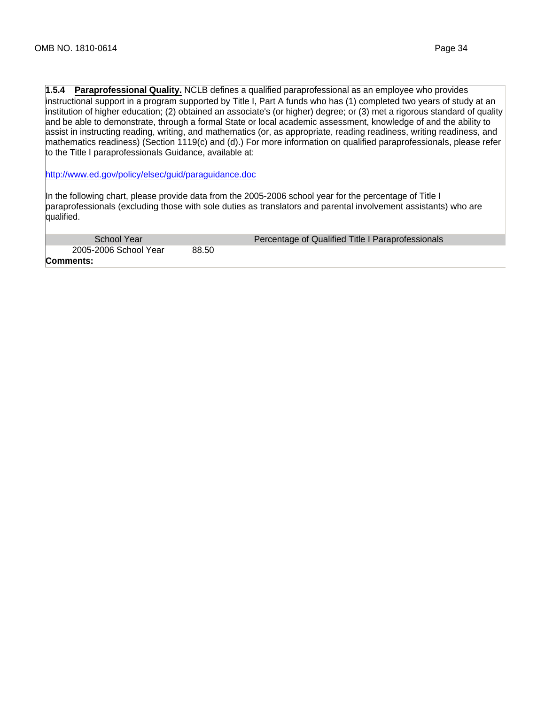**1.5.4 Paraprofessional Quality.** NCLB defines a qualified paraprofessional as an employee who provides instructional support in a program supported by Title I, Part A funds who has (1) completed two years of study at an institution of higher education; (2) obtained an associate's (or higher) degree; or (3) met a rigorous standard of quality and be able to demonstrate, through a formal State or local academic assessment, knowledge of and the ability to assist in instructing reading, writing, and mathematics (or, as appropriate, reading readiness, writing readiness, and mathematics readiness) (Section 1119(c) and (d).) For more information on qualified paraprofessionals, please refer to the Title I paraprofessionals Guidance, available at:

http://www.ed.gov/policy/elsec/guid/paraguidance.doc

In the following chart, please provide data from the 2005-2006 school year for the percentage of Title I paraprofessionals (excluding those with sole duties as translators and parental involvement assistants) who are qualified.

| School Year           | Percentage of Qualified Title I Paraprofessionals |
|-----------------------|---------------------------------------------------|
| 2005-2006 School Year | 88.50                                             |
| Comments:             |                                                   |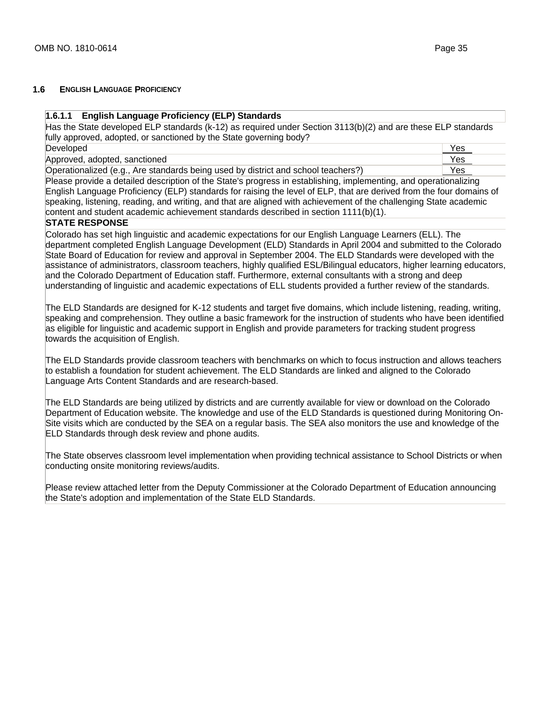#### **1.6 ENGLISH LANGUAGE PROFICIENCY**

#### **1.6.1.1 English Language Proficiency (ELP) Standards**

Has the State developed ELP standards (k-12) as required under Section 3113(b)(2) and are these ELP standards fully approved, adopted, or sanctioned by the State governing body? Developed Yes

Approved, adopted, sanctioned Yes

Operationalized (e.g., Are standards being used by district and school teachers?) Yes

Please provide a detailed description of the State's progress in establishing, implementing, and operationalizing English Language Proficiency (ELP) standards for raising the level of ELP, that are derived from the four domains of speaking, listening, reading, and writing, and that are aligned with achievement of the challenging State academic content and student academic achievement standards described in section 1111(b)(1).

# **STATE RESPONSE**

Colorado has set high linguistic and academic expectations for our English Language Learners (ELL). The department completed English Language Development (ELD) Standards in April 2004 and submitted to the Colorado State Board of Education for review and approval in September 2004. The ELD Standards were developed with the assistance of administrators, classroom teachers, highly qualified ESL/Bilingual educators, higher learning educators, and the Colorado Department of Education staff. Furthermore, external consultants with a strong and deep understanding of linguistic and academic expectations of ELL students provided a further review of the standards.

The ELD Standards are designed for K-12 students and target five domains, which include listening, reading, writing, speaking and comprehension. They outline a basic framework for the instruction of students who have been identified as eligible for linguistic and academic support in English and provide parameters for tracking student progress towards the acquisition of English.

The ELD Standards provide classroom teachers with benchmarks on which to focus instruction and allows teachers to establish a foundation for student achievement. The ELD Standards are linked and aligned to the Colorado Language Arts Content Standards and are research-based.

The ELD Standards are being utilized by districts and are currently available for view or download on the Colorado Department of Education website. The knowledge and use of the ELD Standards is questioned during Monitoring On-Site visits which are conducted by the SEA on a regular basis. The SEA also monitors the use and knowledge of the ELD Standards through desk review and phone audits.

The State observes classroom level implementation when providing technical assistance to School Districts or when conducting onsite monitoring reviews/audits.

Please review attached letter from the Deputy Commissioner at the Colorado Department of Education announcing the State's adoption and implementation of the State ELD Standards.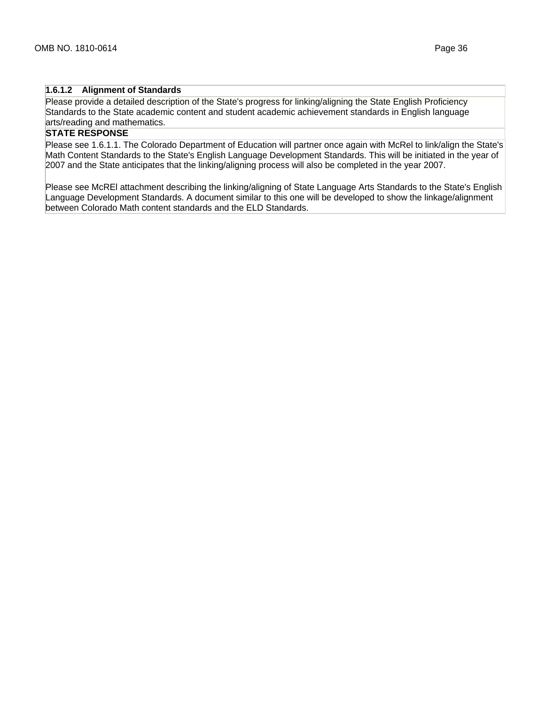## **1.6.1.2 Alignment of Standards**

Please provide a detailed description of the State's progress for linking/aligning the State English Proficiency Standards to the State academic content and student academic achievement standards in English language arts/reading and mathematics.

## **STATE RESPONSE**

Please see 1.6.1.1. The Colorado Department of Education will partner once again with McRel to link/align the State's Math Content Standards to the State's English Language Development Standards. This will be initiated in the year of 2007 and the State anticipates that the linking/aligning process will also be completed in the year 2007.

Please see McREl attachment describing the linking/aligning of State Language Arts Standards to the State's English Language Development Standards. A document similar to this one will be developed to show the linkage/alignment between Colorado Math content standards and the ELD Standards.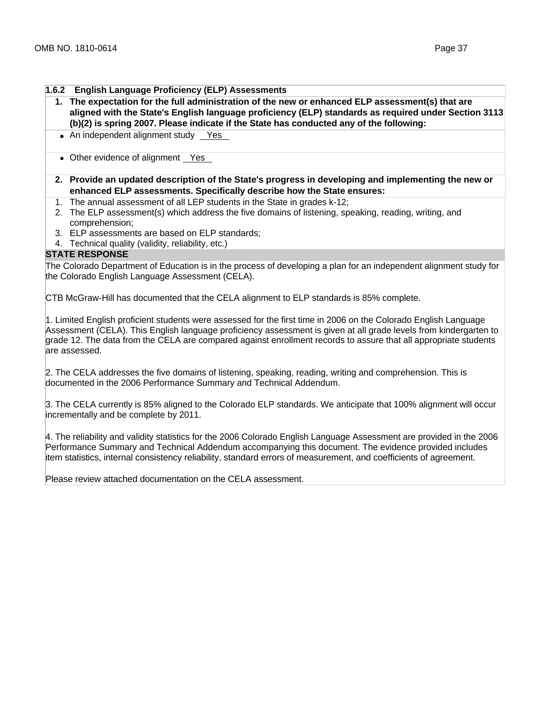#### **1.6.2 English Language Proficiency (ELP) Assessments**

- **1. The expectation for the full administration of the new or enhanced ELP assessment(s) that are aligned with the State's English language proficiency (ELP) standards as required under Section 3113 (b)(2) is spring 2007. Please indicate if the State has conducted any of the following:**
- An independent alignment study Yes
- Other evidence of alignment Yes
- **2. Provide an updated description of the State's progress in developing and implementing the new or enhanced ELP assessments. Specifically describe how the State ensures:**
- 1. The annual assessment of all LEP students in the State in grades k-12;
- 2. The ELP assessment(s) which address the five domains of listening, speaking, reading, writing, and comprehension;
- 3. ELP assessments are based on ELP standards;
- 4. Technical quality (validity, reliability, etc.)

# **STATE RESPONSE**

The Colorado Department of Education is in the process of developing a plan for an independent alignment study for the Colorado English Language Assessment (CELA).

CTB McGraw-Hill has documented that the CELA alignment to ELP standards is 85% complete.

1. Limited English proficient students were assessed for the first time in 2006 on the Colorado English Language Assessment (CELA). This English language proficiency assessment is given at all grade levels from kindergarten to grade 12. The data from the CELA are compared against enrollment records to assure that all appropriate students are assessed.

2. The CELA addresses the five domains of listening, speaking, reading, writing and comprehension. This is documented in the 2006 Performance Summary and Technical Addendum.

3. The CELA currently is 85% aligned to the Colorado ELP standards. We anticipate that 100% alignment will occur incrementally and be complete by 2011.

4. The reliability and validity statistics for the 2006 Colorado English Language Assessment are provided in the 2006 Performance Summary and Technical Addendum accompanying this document. The evidence provided includes item statistics, internal consistency reliability, standard errors of measurement, and coefficients of agreement.

Please review attached documentation on the CELA assessment.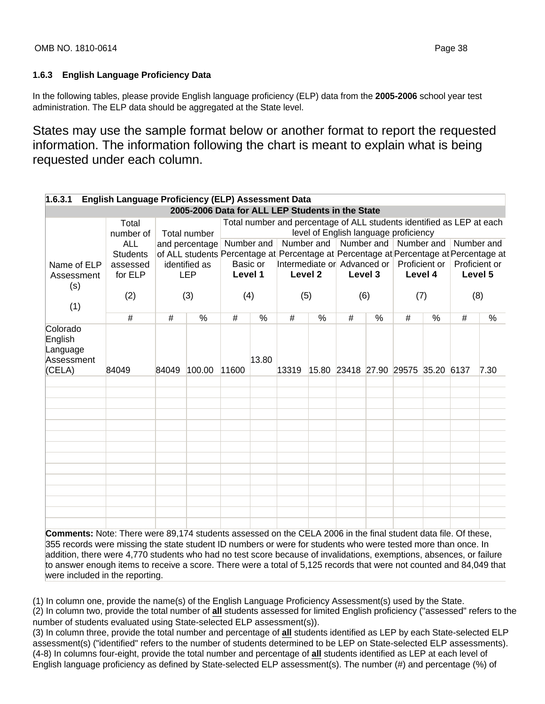## **1.6.3 English Language Proficiency Data**

In the following tables, please provide English language proficiency (ELP) data from the **2005-2006** school year test administration. The ELP data should be aggregated at the State level.

States may use the sample format below or another format to report the requested information. The information following the chart is meant to explain what is being requested under each column.

| 1.6.3.1                                                                                                               | English Language Proficiency (ELP) Assessment Data |       |                                                                                                                      |         |               |                                                                       |                                       |   |                                    |   |               |   |                                             |
|-----------------------------------------------------------------------------------------------------------------------|----------------------------------------------------|-------|----------------------------------------------------------------------------------------------------------------------|---------|---------------|-----------------------------------------------------------------------|---------------------------------------|---|------------------------------------|---|---------------|---|---------------------------------------------|
|                                                                                                                       |                                                    |       | 2005-2006 Data for ALL LEP Students in the State                                                                     |         |               |                                                                       |                                       |   |                                    |   |               |   |                                             |
|                                                                                                                       | Total                                              |       |                                                                                                                      |         |               | Total number and percentage of ALL students identified as LEP at each |                                       |   |                                    |   |               |   |                                             |
|                                                                                                                       | number of                                          |       | Total number                                                                                                         |         |               |                                                                       | level of English language proficiency |   |                                    |   |               |   | Number and Number and Number and Number and |
|                                                                                                                       | <b>ALL</b><br><b>Students</b>                      |       | and percentage   Number and<br>of ALL students Percentage at Percentage at Percentage at Percentage at Percentage at |         |               |                                                                       |                                       |   |                                    |   |               |   |                                             |
| Name of ELP                                                                                                           | assessed                                           |       | identified as                                                                                                        |         | Basic or      | Intermediate or Advanced or                                           |                                       |   |                                    |   | Proficient or |   | Proficient or                               |
| Assessment                                                                                                            | for ELP                                            |       | <b>LEP</b>                                                                                                           | Level 1 |               | Level 2                                                               |                                       |   | Level 3                            |   | Level 4       |   | Level 5                                     |
| (s)                                                                                                                   |                                                    |       |                                                                                                                      |         |               |                                                                       |                                       |   |                                    |   |               |   |                                             |
|                                                                                                                       | (2)                                                |       | (3)                                                                                                                  |         | (4)           | (5)                                                                   |                                       |   | (6)                                |   | (7)           |   | (8)                                         |
| (1)                                                                                                                   |                                                    |       |                                                                                                                      |         |               |                                                                       |                                       |   |                                    |   |               |   |                                             |
|                                                                                                                       | #                                                  | #     | $\frac{0}{2}$                                                                                                        | #       | $\frac{0}{2}$ | #                                                                     | $\%$                                  | # | $\frac{0}{2}$                      | # | $\frac{0}{6}$ | # | $\frac{0}{2}$                               |
| Colorado<br>English<br>Language<br>Assessment                                                                         |                                                    |       |                                                                                                                      |         | 13.80         |                                                                       |                                       |   |                                    |   |               |   |                                             |
| (CELA)                                                                                                                | 84049                                              | 84049 | 100.00                                                                                                               | 11600   |               | 13319                                                                 |                                       |   | 15.80 23418 27.90 29575 35.20 6137 |   |               |   | 7.30                                        |
|                                                                                                                       |                                                    |       |                                                                                                                      |         |               |                                                                       |                                       |   |                                    |   |               |   |                                             |
|                                                                                                                       |                                                    |       |                                                                                                                      |         |               |                                                                       |                                       |   |                                    |   |               |   |                                             |
|                                                                                                                       |                                                    |       |                                                                                                                      |         |               |                                                                       |                                       |   |                                    |   |               |   |                                             |
|                                                                                                                       |                                                    |       |                                                                                                                      |         |               |                                                                       |                                       |   |                                    |   |               |   |                                             |
|                                                                                                                       |                                                    |       |                                                                                                                      |         |               |                                                                       |                                       |   |                                    |   |               |   |                                             |
|                                                                                                                       |                                                    |       |                                                                                                                      |         |               |                                                                       |                                       |   |                                    |   |               |   |                                             |
|                                                                                                                       |                                                    |       |                                                                                                                      |         |               |                                                                       |                                       |   |                                    |   |               |   |                                             |
|                                                                                                                       |                                                    |       |                                                                                                                      |         |               |                                                                       |                                       |   |                                    |   |               |   |                                             |
|                                                                                                                       |                                                    |       |                                                                                                                      |         |               |                                                                       |                                       |   |                                    |   |               |   |                                             |
|                                                                                                                       |                                                    |       |                                                                                                                      |         |               |                                                                       |                                       |   |                                    |   |               |   |                                             |
|                                                                                                                       |                                                    |       |                                                                                                                      |         |               |                                                                       |                                       |   |                                    |   |               |   |                                             |
|                                                                                                                       |                                                    |       |                                                                                                                      |         |               |                                                                       |                                       |   |                                    |   |               |   |                                             |
| <b>Comments:</b> Note: There were 89,174 students assessed on the CELA 2006 in the final student data file. Of these, |                                                    |       |                                                                                                                      |         |               |                                                                       |                                       |   |                                    |   |               |   |                                             |

355 records were missing the state student ID numbers or were for students who were tested more than once. In addition, there were 4,770 students who had no test score because of invalidations, exemptions, absences, or failure to answer enough items to receive a score. There were a total of 5,125 records that were not counted and 84,049 that were included in the reporting.

(1) In column one, provide the name(s) of the English Language Proficiency Assessment(s) used by the State.

(2) In column two, provide the total number of **all** students assessed for limited English proficiency ("assessed" refers to the number of students evaluated using State-selected ELP assessment(s)).

(3) In column three, provide the total number and percentage of **all** students identified as LEP by each State-selected ELP assessment(s) ("identified" refers to the number of students determined to be LEP on State-selected ELP assessments). (4-8) In columns four-eight, provide the total number and percentage of **all** students identified as LEP at each level of English language proficiency as defined by State-selected ELP assessment(s). The number (#) and percentage (%) of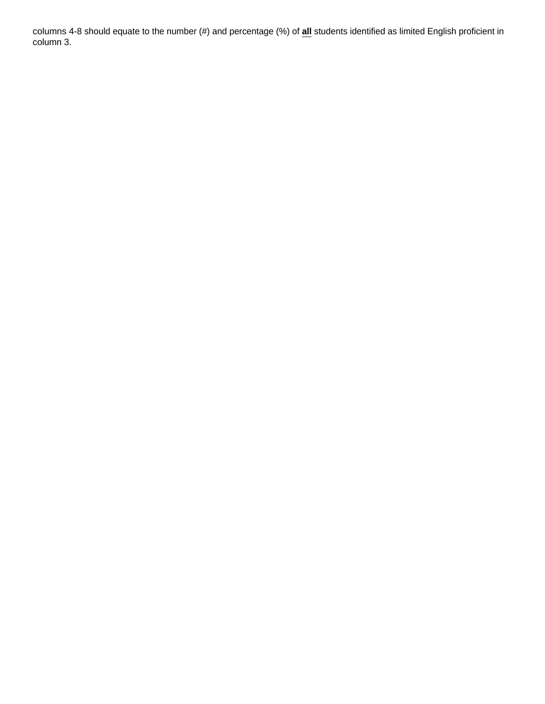columns 4-8 should equate to the number (#) and percentage (%) of **all** students identified as limited English proficient in column 3.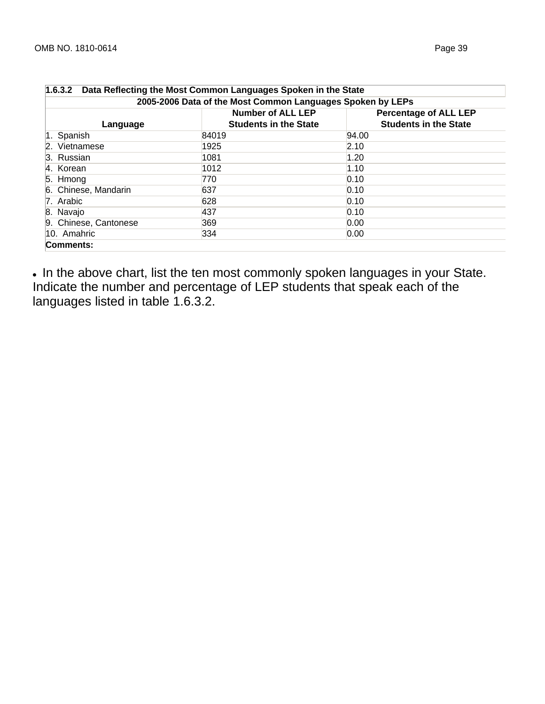| 1.6.3.2 Data Reflecting the Most Common Languages Spoken in the State |                                                          |                                                              |  |  |  |  |  |
|-----------------------------------------------------------------------|----------------------------------------------------------|--------------------------------------------------------------|--|--|--|--|--|
| 2005-2006 Data of the Most Common Languages Spoken by LEPs            |                                                          |                                                              |  |  |  |  |  |
| Language                                                              | <b>Number of ALL LEP</b><br><b>Students in the State</b> | <b>Percentage of ALL LEP</b><br><b>Students in the State</b> |  |  |  |  |  |
| 1. Spanish                                                            | 84019                                                    | 94.00                                                        |  |  |  |  |  |
| 2. Vietnamese                                                         | 1925                                                     | 2.10                                                         |  |  |  |  |  |
| 3. Russian                                                            | 1081                                                     | 1.20                                                         |  |  |  |  |  |
| 4. Korean                                                             | 1012                                                     | 1.10                                                         |  |  |  |  |  |
| $5.$ Hmong                                                            | 770                                                      | 0.10                                                         |  |  |  |  |  |
| 6. Chinese, Mandarin                                                  | 637                                                      | 0.10                                                         |  |  |  |  |  |
| 7. Arabic                                                             | 628                                                      | 0.10                                                         |  |  |  |  |  |
| 8. Navajo                                                             | 437                                                      | 0.10                                                         |  |  |  |  |  |
| 9. Chinese, Cantonese                                                 | 369                                                      | 0.00                                                         |  |  |  |  |  |
| 10. Amahric                                                           | 334                                                      | 0.00                                                         |  |  |  |  |  |
| Comments:                                                             |                                                          |                                                              |  |  |  |  |  |

• In the above chart, list the ten most commonly spoken languages in your State. Indicate the number and percentage of LEP students that speak each of the languages listed in table 1.6.3.2.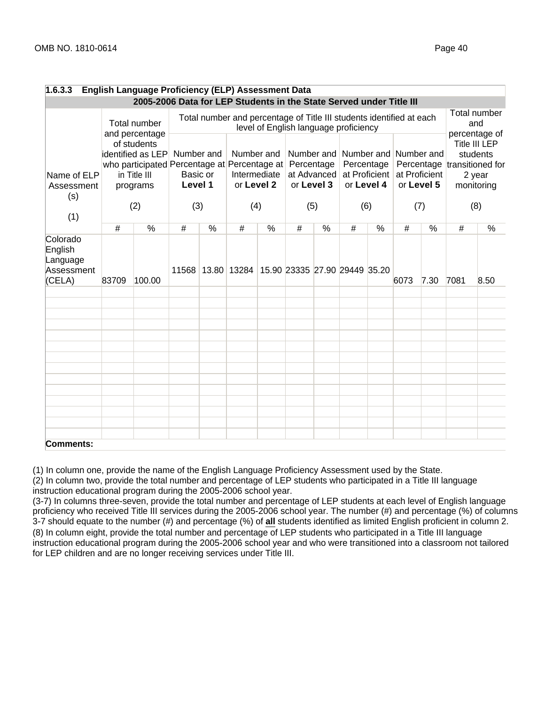| 1.6.3.3                                                 |       | <b>English Language Proficiency (ELP) Assessment Data</b>                                                    |                                   |               |                                                                      |               |            |                                         |                                       |               |      |                                                      |      |                                                                                                          |
|---------------------------------------------------------|-------|--------------------------------------------------------------------------------------------------------------|-----------------------------------|---------------|----------------------------------------------------------------------|---------------|------------|-----------------------------------------|---------------------------------------|---------------|------|------------------------------------------------------|------|----------------------------------------------------------------------------------------------------------|
|                                                         |       | 2005-2006 Data for LEP Students in the State Served under Title III                                          |                                   |               |                                                                      |               |            |                                         |                                       |               |      |                                                      |      |                                                                                                          |
|                                                         |       | Total number<br>and percentage                                                                               |                                   |               | Total number and percentage of Title III students identified at each |               |            |                                         | level of English language proficiency |               |      |                                                      |      | Total number<br>and                                                                                      |
| Name of ELP<br>Assessment                               |       | of students<br>identified as LEP<br>who participated Percentage at Percentage at<br>in Title III<br>programs | Number and<br>Basic or<br>Level 1 |               | Number and<br>or Level 2                                             | Intermediate  | Percentage | Number and<br>at Advanced<br>or Level 3 | Percentage<br>or Level 4              | at Proficient |      | Number and Number and<br>at Proficient<br>or Level 5 |      | percentage of<br><b>Title III LEP</b><br>students<br>Percentage transitioned for<br>2 year<br>monitoring |
| (s)<br>(1)                                              |       | (2)                                                                                                          | (3)                               |               | (4)                                                                  |               |            | (5)                                     | (6)                                   |               |      | (7)                                                  |      | (8)                                                                                                      |
|                                                         | #     | $\frac{0}{2}$                                                                                                | #                                 | $\frac{0}{2}$ | #                                                                    | $\frac{0}{2}$ | #          | $\frac{0}{2}$                           | #                                     | $\frac{0}{6}$ | #    | $\frac{0}{2}$                                        | #    | $\frac{0}{6}$                                                                                            |
| Colorado<br>English<br>Language<br>Assessment<br>(CELA) | 83709 | 100.00                                                                                                       |                                   |               | 11568 13.80 13284 15.90 23335 27.90 29449 35.20                      |               |            |                                         |                                       |               | 6073 | 7.30                                                 | 7081 | 8.50                                                                                                     |
|                                                         |       |                                                                                                              |                                   |               |                                                                      |               |            |                                         |                                       |               |      |                                                      |      |                                                                                                          |
| Comments:                                               |       |                                                                                                              |                                   |               |                                                                      |               |            |                                         |                                       |               |      |                                                      |      |                                                                                                          |

(1) In column one, provide the name of the English Language Proficiency Assessment used by the State.

(2) In column two, provide the total number and percentage of LEP students who participated in a Title III language instruction educational program during the 2005-2006 school year.

(3-7) In columns three-seven, provide the total number and percentage of LEP students at each level of English language proficiency who received Title III services during the 2005-2006 school year. The number (#) and percentage (%) of columns 3-7 should equate to the number (#) and percentage (%) of **all** students identified as limited English proficient in column 2. (8) In column eight, provide the total number and percentage of LEP students who participated in a Title III language instruction educational program during the 2005-2006 school year and who were transitioned into a classroom not tailored for LEP children and are no longer receiving services under Title III.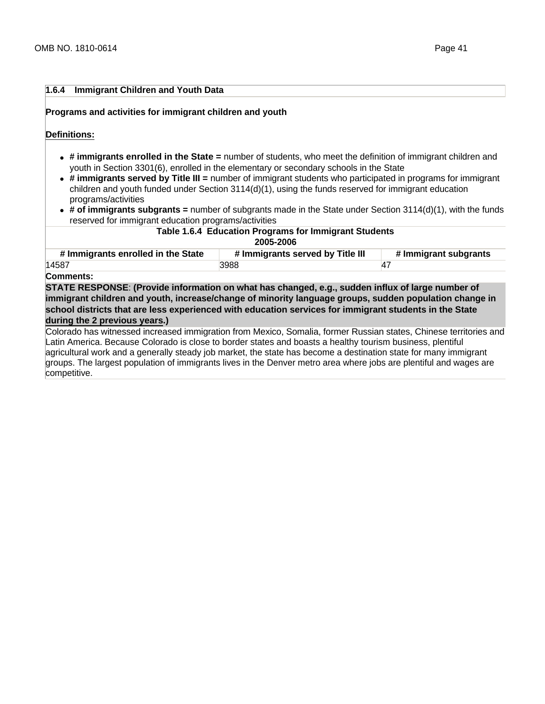# **1.6.4 Immigrant Children and Youth Data**

#### **Programs and activities for immigrant children and youth**

**Definitions:** 

- **# immigrants enrolled in the State =** number of students, who meet the definition of immigrant children and youth in Section 3301(6), enrolled in the elementary or secondary schools in the State
- **# immigrants served by Title III =** number of immigrant students who participated in programs for immigrant children and youth funded under Section 3114(d)(1), using the funds reserved for immigrant education programs/activities
- **# of immigrants subgrants =** number of subgrants made in the State under Section 3114(d)(1), with the funds reserved for immigrant education programs/activities

| Table 1.6.4 Education Programs for Immigrant Students<br>2005-2006                                                                                                                                                                                                                                                                                    |                                  |                       |  |  |  |  |
|-------------------------------------------------------------------------------------------------------------------------------------------------------------------------------------------------------------------------------------------------------------------------------------------------------------------------------------------------------|----------------------------------|-----------------------|--|--|--|--|
| # Immigrants enrolled in the State                                                                                                                                                                                                                                                                                                                    | # Immigrants served by Title III | # Immigrant subgrants |  |  |  |  |
| 14587                                                                                                                                                                                                                                                                                                                                                 | 3988                             | 47                    |  |  |  |  |
| Comments:                                                                                                                                                                                                                                                                                                                                             |                                  |                       |  |  |  |  |
| STATE RESPONSE: (Provide information on what has changed, e.g., sudden influx of large number of<br>immigrant children and youth, increase/change of minority language groups, sudden population change in<br>school districts that are less experienced with education services for immigrant students in the State<br>during the 2 previous years.) |                                  |                       |  |  |  |  |

Colorado has witnessed increased immigration from Mexico, Somalia, former Russian states, Chinese territories and Latin America. Because Colorado is close to border states and boasts a healthy tourism business, plentiful agricultural work and a generally steady job market, the state has become a destination state for many immigrant groups. The largest population of immigrants lives in the Denver metro area where jobs are plentiful and wages are competitive.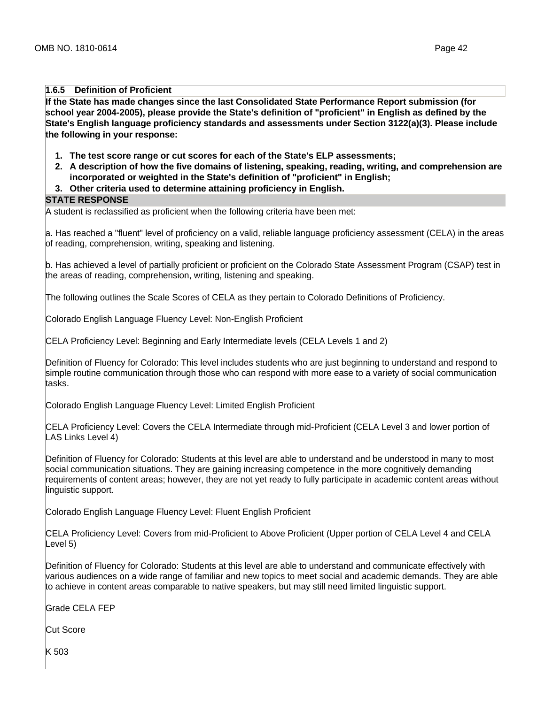### **1.6.5 Definition of Proficient**

**If the State has made changes since the last Consolidated State Performance Report submission (for school year 2004-2005), please provide the State's definition of "proficient" in English as defined by the State's English language proficiency standards and assessments under Section 3122(a)(3). Please include the following in your response:**

- **1. The test score range or cut scores for each of the State's ELP assessments;**
- **2. A description of how the five domains of listening, speaking, reading, writing, and comprehension are incorporated or weighted in the State's definition of "proficient" in English;**
- **3. Other criteria used to determine attaining proficiency in English.**

#### **STATE RESPONSE**

A student is reclassified as proficient when the following criteria have been met:

a. Has reached a "fluent" level of proficiency on a valid, reliable language proficiency assessment (CELA) in the areas of reading, comprehension, writing, speaking and listening.

b. Has achieved a level of partially proficient or proficient on the Colorado State Assessment Program (CSAP) test in the areas of reading, comprehension, writing, listening and speaking.

The following outlines the Scale Scores of CELA as they pertain to Colorado Definitions of Proficiency.

Colorado English Language Fluency Level: Non-English Proficient

CELA Proficiency Level: Beginning and Early Intermediate levels (CELA Levels 1 and 2)

Definition of Fluency for Colorado: This level includes students who are just beginning to understand and respond to simple routine communication through those who can respond with more ease to a variety of social communication tasks.

Colorado English Language Fluency Level: Limited English Proficient

CELA Proficiency Level: Covers the CELA Intermediate through mid-Proficient (CELA Level 3 and lower portion of LAS Links Level 4)

Definition of Fluency for Colorado: Students at this level are able to understand and be understood in many to most social communication situations. They are gaining increasing competence in the more cognitively demanding requirements of content areas; however, they are not yet ready to fully participate in academic content areas without linguistic support.

Colorado English Language Fluency Level: Fluent English Proficient

CELA Proficiency Level: Covers from mid-Proficient to Above Proficient (Upper portion of CELA Level 4 and CELA Level 5)

Definition of Fluency for Colorado: Students at this level are able to understand and communicate effectively with various audiences on a wide range of familiar and new topics to meet social and academic demands. They are able to achieve in content areas comparable to native speakers, but may still need limited linguistic support.

Grade CELA FEP

Cut Score

K 503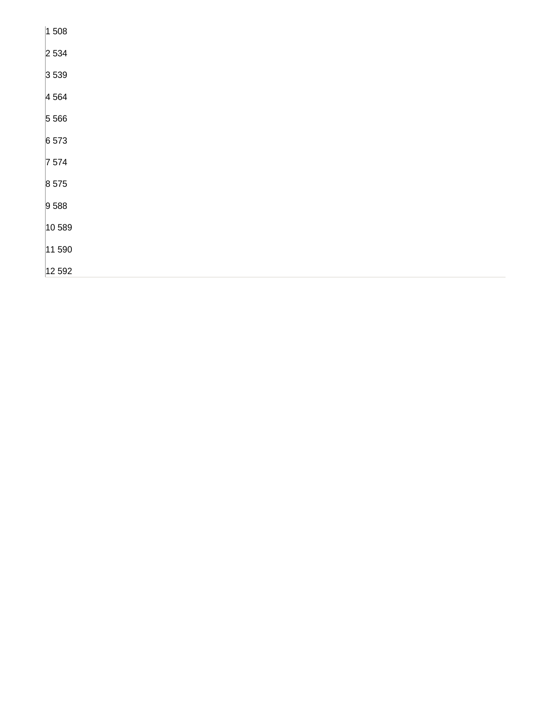| 1508    |
|---------|
| 2534    |
| 3539    |
| 4 5 64  |
| 5 5 6 6 |
| 6 573   |
| 7574    |
| 8 5 7 5 |
| 9588    |
| 10, 589 |
| 11590   |
| 12 5 92 |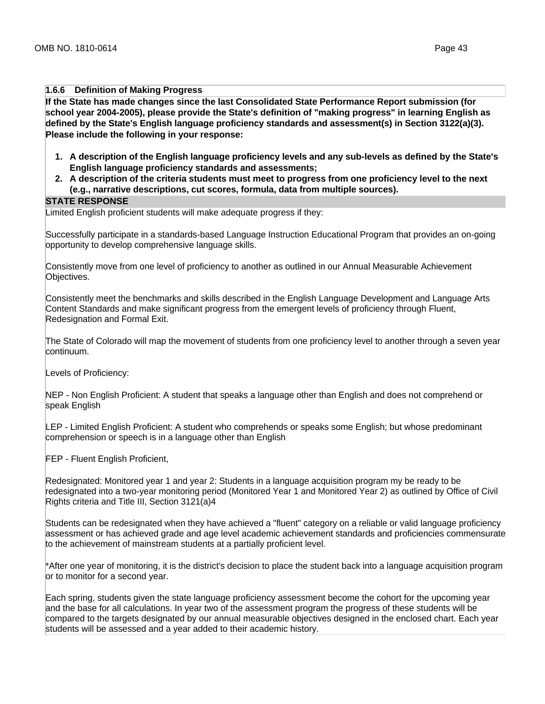#### **1.6.6 Definition of Making Progress**

**If the State has made changes since the last Consolidated State Performance Report submission (for school year 2004-2005), please provide the State's definition of "making progress" in learning English as defined by the State's English language proficiency standards and assessment(s) in Section 3122(a)(3). Please include the following in your response:**

- **1. A description of the English language proficiency levels and any sub-levels as defined by the State's English language proficiency standards and assessments;**
- **2. A description of the criteria students must meet to progress from one proficiency level to the next (e.g., narrative descriptions, cut scores, formula, data from multiple sources).**

#### **STATE RESPONSE**

Limited English proficient students will make adequate progress if they:

Successfully participate in a standards-based Language Instruction Educational Program that provides an on-going opportunity to develop comprehensive language skills.

Consistently move from one level of proficiency to another as outlined in our Annual Measurable Achievement Objectives.

Consistently meet the benchmarks and skills described in the English Language Development and Language Arts Content Standards and make significant progress from the emergent levels of proficiency through Fluent, Redesignation and Formal Exit.

The State of Colorado will map the movement of students from one proficiency level to another through a seven year continuum.

Levels of Proficiency:

NEP - Non English Proficient: A student that speaks a language other than English and does not comprehend or speak English

LEP - Limited English Proficient: A student who comprehends or speaks some English; but whose predominant comprehension or speech is in a language other than English

FEP - Fluent English Proficient,

Redesignated: Monitored year 1 and year 2: Students in a language acquisition program my be ready to be redesignated into a two-year monitoring period (Monitored Year 1 and Monitored Year 2) as outlined by Office of Civil Rights criteria and Title III, Section 3121(a)4

Students can be redesignated when they have achieved a "fluent" category on a reliable or valid language proficiency assessment or has achieved grade and age level academic achievement standards and proficiencies commensurate to the achievement of mainstream students at a partially proficient level.

\*After one year of monitoring, it is the district's decision to place the student back into a language acquisition program or to monitor for a second year.

Each spring, students given the state language proficiency assessment become the cohort for the upcoming year and the base for all calculations. In year two of the assessment program the progress of these students will be compared to the targets designated by our annual measurable objectives designed in the enclosed chart. Each year students will be assessed and a year added to their academic history.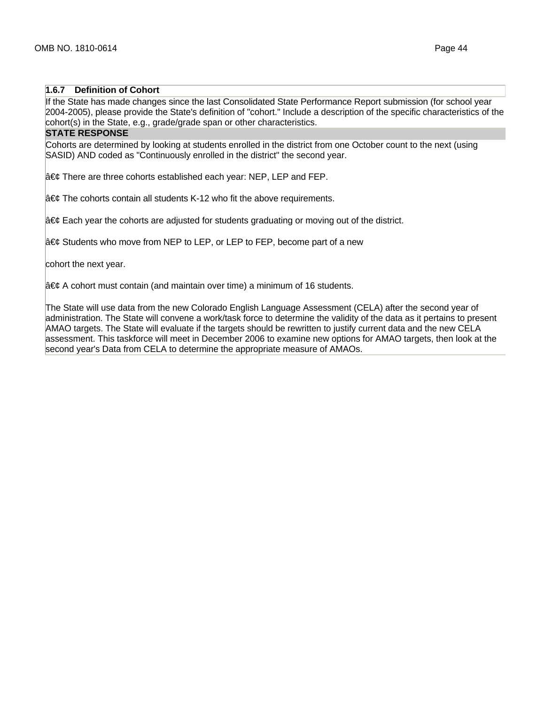# **1.6.7 Definition of Cohort**

If the State has made changes since the last Consolidated State Performance Report submission (for school year 2004-2005), please provide the State's definition of "cohort." Include a description of the specific characteristics of the cohort(s) in the State, e.g., grade/grade span or other characteristics.

# **STATE RESPONSE**

Cohorts are determined by looking at students enrolled in the district from one October count to the next (using SASID) AND coded as "Continuously enrolled in the district" the second year.

 $\hat{a} \in \mathcal{C}$  There are three cohorts established each year: NEP, LEP and FEP.

 $|\hat{\mathbf{a}} \in \mathcal{C}$  The cohorts contain all students K-12 who fit the above requirements.

 $\hat{a} \in \mathcal{C}$  Each year the cohorts are adjusted for students graduating or moving out of the district.

 $a \in \mathcal{C}$  Students who move from NEP to LEP, or LEP to FEP, become part of a new

cohort the next year.

 $|\hat{\mathbf{a}} \in \mathcal{C}$  A cohort must contain (and maintain over time) a minimum of 16 students.

The State will use data from the new Colorado English Language Assessment (CELA) after the second year of administration. The State will convene a work/task force to determine the validity of the data as it pertains to present AMAO targets. The State will evaluate if the targets should be rewritten to justify current data and the new CELA assessment. This taskforce will meet in December 2006 to examine new options for AMAO targets, then look at the second year's Data from CELA to determine the appropriate measure of AMAOs.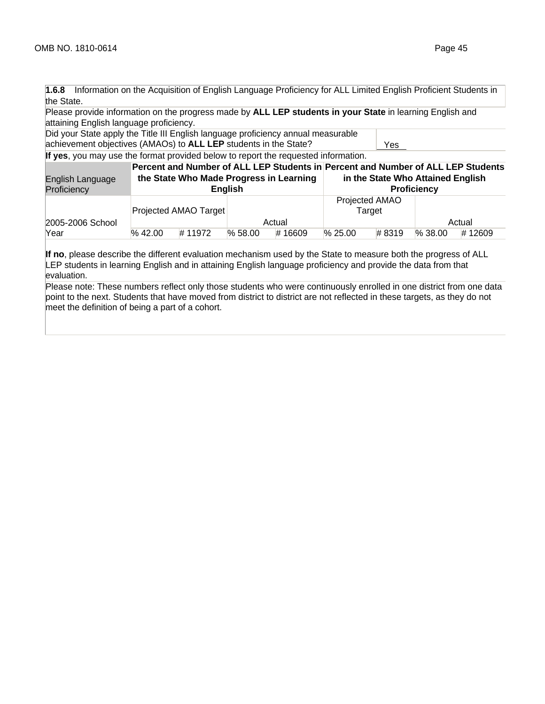**1.6.8** Information on the Acquisition of English Language Proficiency for ALL Limited English Proficient Students in the State.

Please provide information on the progress made by **ALL LEP students in your State** in learning English and attaining English language proficiency.

Did your State apply the Title III English language proficiency annual measurable achievement objectives (AMAOs) to **ALL LEP** students in the State? Yes

**If yes**, you may use the format provided below to report the requested information.

| English Language<br>Proficiency |            |                       | <b>English</b> | the State Who Made Progress in Learning |            | in the State Who Attained English | <b>Proficiency</b> | Percent and Number of ALL LEP Students in Percent and Number of ALL LEP Students |
|---------------------------------|------------|-----------------------|----------------|-----------------------------------------|------------|-----------------------------------|--------------------|----------------------------------------------------------------------------------|
| 2005-2006 School                |            | Projected AMAO Target |                | Actual                                  |            | Projected AMAO<br>Target          |                    | Actual                                                                           |
| Year                            | $\%$ 42.00 | #11972                | $\%$ 58.00     | #16609                                  | $\%$ 25.00 | #8319                             | $\%$ 38.00         | #12609                                                                           |

**If no**, please describe the different evaluation mechanism used by the State to measure both the progress of ALL LEP students in learning English and in attaining English language proficiency and provide the data from that evaluation.

Please note: These numbers reflect only those students who were continuously enrolled in one district from one data point to the next. Students that have moved from district to district are not reflected in these targets, as they do not meet the definition of being a part of a cohort.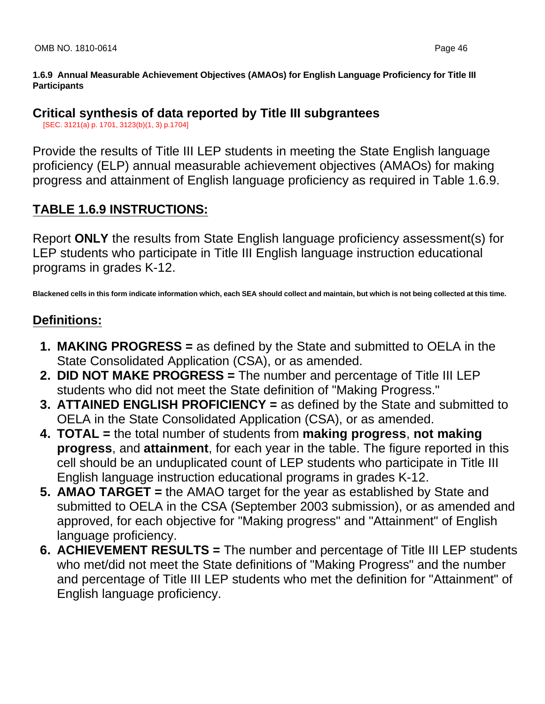**1.6.9 Annual Measurable Achievement Objectives (AMAOs) for English Language Proficiency for Title III Participants**

# **Critical synthesis of data reported by Title III subgrantees**

[SEC. 3121(a) p. 1701, 3123(b)(1, 3) p.1704]

Provide the results of Title III LEP students in meeting the State English language proficiency (ELP) annual measurable achievement objectives (AMAOs) for making progress and attainment of English language proficiency as required in Table 1.6.9.

# **TABLE 1.6.9 INSTRUCTIONS:**

Report **ONLY** the results from State English language proficiency assessment(s) for LEP students who participate in Title III English language instruction educational programs in grades K-12.

**Blackened cells in this form indicate information which, each SEA should collect and maintain, but which is not being collected at this time.**

# **Definitions:**

- **1. MAKING PROGRESS =** as defined by the State and submitted to OELA in the State Consolidated Application (CSA), or as amended.
- **2. DID NOT MAKE PROGRESS =** The number and percentage of Title III LEP students who did not meet the State definition of "Making Progress."
- **3. ATTAINED ENGLISH PROFICIENCY =** as defined by the State and submitted to OELA in the State Consolidated Application (CSA), or as amended.
- **4. TOTAL =** the total number of students from **making progress**, **not making progress**, and **attainment**, for each year in the table. The figure reported in this cell should be an unduplicated count of LEP students who participate in Title III English language instruction educational programs in grades K-12.
- **5. AMAO TARGET =** the AMAO target for the year as established by State and submitted to OELA in the CSA (September 2003 submission), or as amended and approved, for each objective for "Making progress" and "Attainment" of English language proficiency.
- **6. ACHIEVEMENT RESULTS =** The number and percentage of Title III LEP students who met/did not meet the State definitions of "Making Progress" and the number and percentage of Title III LEP students who met the definition for "Attainment" of English language proficiency.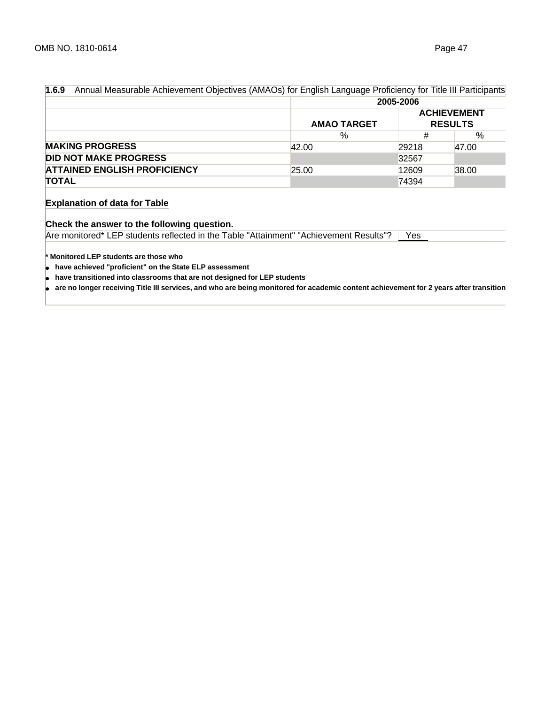| 1.6.9<br>Annual Measurable Achievement Objectives (AMAOs) for English Language Proficiency for Title III Participants |                    |       |                                      |  |  |
|-----------------------------------------------------------------------------------------------------------------------|--------------------|-------|--------------------------------------|--|--|
|                                                                                                                       | 2005-2006          |       |                                      |  |  |
|                                                                                                                       | <b>AMAO TARGET</b> |       | <b>ACHIEVEMENT</b><br><b>RESULTS</b> |  |  |
|                                                                                                                       | %                  | #     | %                                    |  |  |
| <b>MAKING PROGRESS</b>                                                                                                | 42.00              | 29218 | 47.00                                |  |  |
| <b>DID NOT MAKE PROGRESS</b>                                                                                          |                    | 32567 |                                      |  |  |
| <b>ATTAINED ENGLISH PROFICIENCY</b>                                                                                   | 25.00              | 12609 | 38.00                                |  |  |
| <b>TOTAL</b>                                                                                                          |                    | 74394 |                                      |  |  |

# **Explanation of data for Table**

# **Check the answer to the following question.**

Are monitored\* LEP students reflected in the Table "Attainment" "Achievement Results"? | Yes

**\* Monitored LEP students are those who** 

● **have achieved "proficient" on the State ELP assessment**

● **have transitioned into classrooms that are not designed for LEP students**

● **are no longer receiving Title III services, and who are being monitored for academic content achievement for 2 years after transition**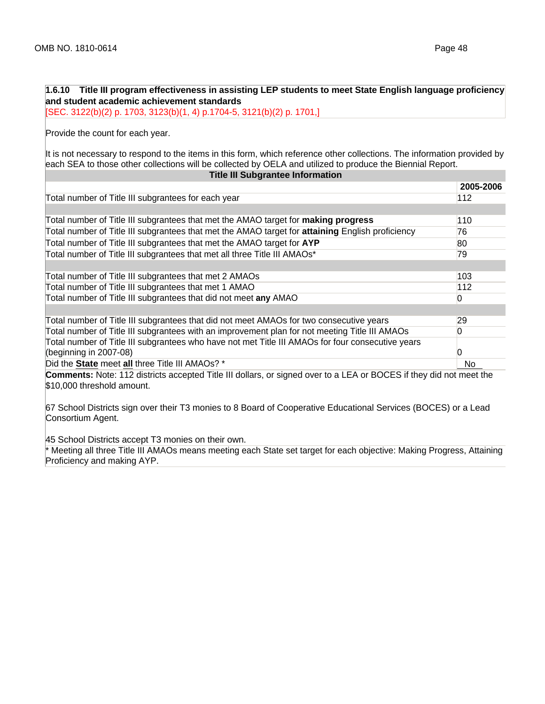| 1.6.10 Title III program effectiveness in assisting LEP students to meet State English language proficiency<br>and student academic achievement standards                                                                              |                   |
|----------------------------------------------------------------------------------------------------------------------------------------------------------------------------------------------------------------------------------------|-------------------|
| [SEC. 3122(b)(2) p. 1703, 3123(b)(1, 4) p.1704-5, 3121(b)(2) p. 1701,]                                                                                                                                                                 |                   |
| Provide the count for each year.                                                                                                                                                                                                       |                   |
| It is not necessary to respond to the items in this form, which reference other collections. The information provided by<br>each SEA to those other collections will be collected by OELA and utilized to produce the Biennial Report. |                   |
| <b>Title III Subgrantee Information</b>                                                                                                                                                                                                |                   |
|                                                                                                                                                                                                                                        | 2005-2006         |
| Total number of Title III subgrantees for each year                                                                                                                                                                                    | 112               |
|                                                                                                                                                                                                                                        |                   |
| Total number of Title III subgrantees that met the AMAO target for <b>making progress</b>                                                                                                                                              | 110               |
| Total number of Title III subgrantees that met the AMAO target for <b>attaining</b> English proficiency                                                                                                                                | 76                |
| Total number of Title III subgrantees that met the AMAO target for AYP                                                                                                                                                                 | 80                |
| Total number of Title III subgrantees that met all three Title III AMAOs*                                                                                                                                                              | 79                |
|                                                                                                                                                                                                                                        |                   |
| Total number of Title III subgrantees that met 2 AMAOs                                                                                                                                                                                 | 103               |
| Total number of Title III subgrantees that met 1 AMAO                                                                                                                                                                                  | 112               |
| Total number of Title III subgrantees that did not meet any AMAO                                                                                                                                                                       | $\overline{0}$    |
|                                                                                                                                                                                                                                        |                   |
| Total number of Title III subgrantees that did not meet AMAOs for two consecutive years                                                                                                                                                | 29                |
| Total number of Title III subgrantees with an improvement plan for not meeting Title III AMAOs                                                                                                                                         | $\Omega$          |
| Total number of Title III subgrantees who have not met Title III AMAOs for four consecutive years                                                                                                                                      |                   |
| (beginning in 2007-08)                                                                                                                                                                                                                 | $\mathbf{\Omega}$ |
| Did the State meet all three Title III AMAOs? *                                                                                                                                                                                        | No                |
| <b>Comments:</b> Note: 112 districts accepted Title III dollars, or signed over to a LEA or BOCES if they did not meet the                                                                                                             |                   |
| \$10,000 threshold amount.                                                                                                                                                                                                             |                   |
| 67 School Districts sign over their T3 monies to 8 Board of Cooperative Educational Services (BOCES) or a Lead<br>Consortium Agent.                                                                                                    |                   |

45 School Districts accept T3 monies on their own.

\* Meeting all three Title III AMAOs means meeting each State set target for each objective: Making Progress, Attaining Proficiency and making AYP.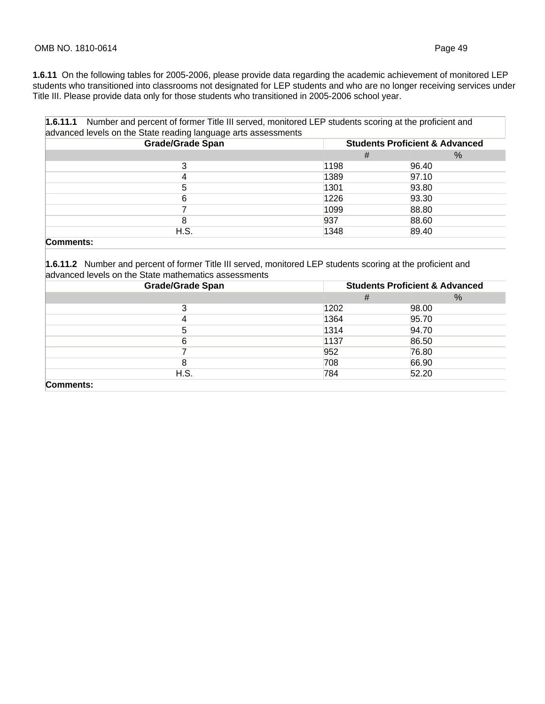**1.6.11** On the following tables for 2005-2006, please provide data regarding the academic achievement of monitored LEP students who transitioned into classrooms not designated for LEP students and who are no longer receiving services under Title III. Please provide data only for those students who transitioned in 2005-2006 school year.

| <b>Grade/Grade Span</b> |      | <b>Students Proficient &amp; Advanced</b> |  |  |  |  |  |
|-------------------------|------|-------------------------------------------|--|--|--|--|--|
|                         | #    | $\%$                                      |  |  |  |  |  |
| 3                       | 1198 | 96.40                                     |  |  |  |  |  |
| 4                       | 1389 | 97.10                                     |  |  |  |  |  |
| 5                       | 1301 | 93.80                                     |  |  |  |  |  |
| 6                       | 1226 | 93.30                                     |  |  |  |  |  |
|                         | 1099 | 88.80                                     |  |  |  |  |  |
| 8                       | 937  | 88.60                                     |  |  |  |  |  |
| H.S.                    | 1348 | 89.40                                     |  |  |  |  |  |

### **Comments:**

**1.6.11.2** Number and percent of former Title III served, monitored LEP students scoring at the proficient and advanced levels on the State mathematics assessments

| <b>Grade/Grade Span</b> | <b>Students Proficient &amp; Advanced</b> |       |
|-------------------------|-------------------------------------------|-------|
|                         | #                                         | $\%$  |
| 3                       | 1202                                      | 98.00 |
| 4                       | 1364                                      | 95.70 |
| 5                       | 1314                                      | 94.70 |
| 6                       | 1137                                      | 86.50 |
|                         | 952                                       | 76.80 |
| 8                       | 708                                       | 66.90 |
| H.S.                    | 784                                       | 52.20 |
| Comments:               |                                           |       |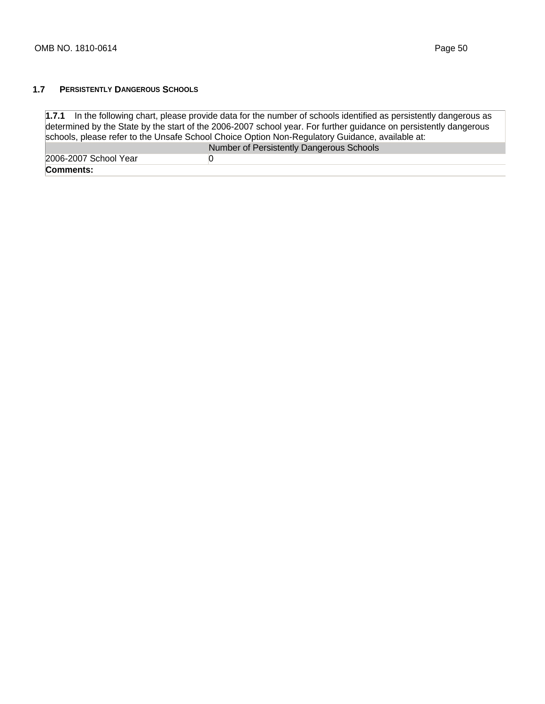#### **1.7 PERSISTENTLY DANGEROUS SCHOOLS**

**1.7.1** In the following chart, please provide data for the number of schools identified as persistently dangerous as determined by the State by the start of the 2006-2007 school year. For further guidance on persistently dangerous schools, please refer to the Unsafe School Choice Option Non-Regulatory Guidance, available at: Number of Persistently Dangerous Schools 2006-2007 School Year 0 **Comments:**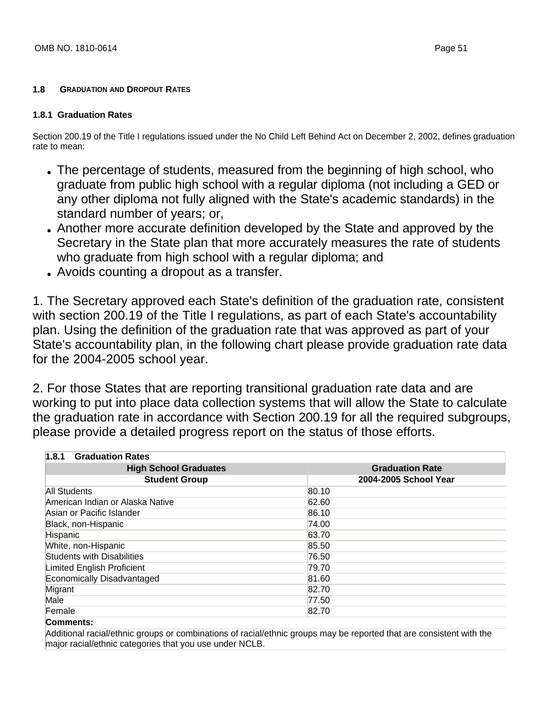#### **1.8 GRADUATION AND DROPOUT RATES**

### **1.8.1 Graduation Rates**

Section 200.19 of the Title I regulations issued under the No Child Left Behind Act on December 2, 2002, defines graduation rate to mean:

- The percentage of students, measured from the beginning of high school, who graduate from public high school with a regular diploma (not including a GED or any other diploma not fully aligned with the State's academic standards) in the standard number of years; or,
- Another more accurate definition developed by the State and approved by the Secretary in the State plan that more accurately measures the rate of students who graduate from high school with a regular diploma; and
- Avoids counting a dropout as a transfer.

1. The Secretary approved each State's definition of the graduation rate, consistent with section 200.19 of the Title I regulations, as part of each State's accountability plan. Using the definition of the graduation rate that was approved as part of your State's accountability plan, in the following chart please provide graduation rate data for the 2004-2005 school year.

2. For those States that are reporting transitional graduation rate data and are working to put into place data collection systems that will allow the State to calculate the graduation rate in accordance with Section 200.19 for all the required subgroups, please provide a detailed progress report on the status of those efforts.

| <b>Graduation Rates</b><br>1.8.1  |                        |
|-----------------------------------|------------------------|
| <b>High School Graduates</b>      | <b>Graduation Rate</b> |
| <b>Student Group</b>              | 2004-2005 School Year  |
| All Students                      | 80.10                  |
| American Indian or Alaska Native  | 62.60                  |
| Asian or Pacific Islander         | 86.10                  |
| Black, non-Hispanic               | 74.00                  |
| <b>Hispanic</b>                   | 63.70                  |
| White, non-Hispanic               | 85.50                  |
| <b>Students with Disabilities</b> | 76.50                  |
| Limited English Proficient        | 79.70                  |
| Economically Disadvantaged        | 81.60                  |
| Migrant                           | 82.70                  |
| Male                              | 77.50                  |
| Female                            | 82.70                  |
| Commente:                         |                        |

#### **Comments:**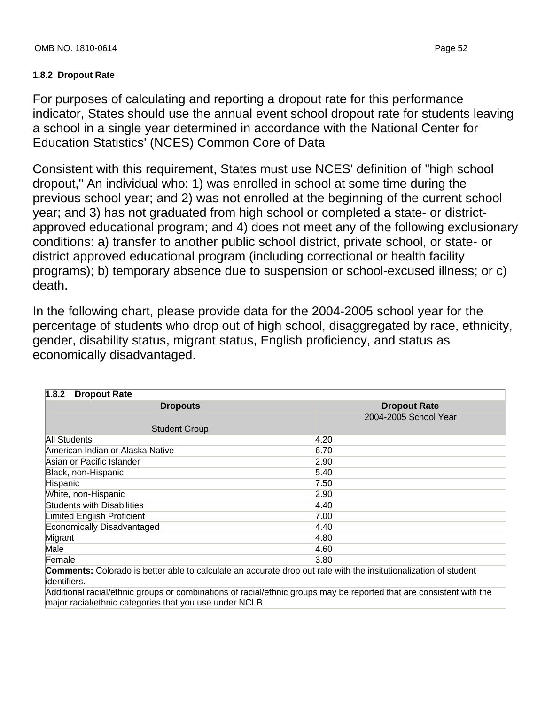# **1.8.2 Dropout Rate**

For purposes of calculating and reporting a dropout rate for this performance indicator, States should use the annual event school dropout rate for students leaving a school in a single year determined in accordance with the National Center for Education Statistics' (NCES) Common Core of Data

Consistent with this requirement, States must use NCES' definition of "high school dropout," An individual who: 1) was enrolled in school at some time during the previous school year; and 2) was not enrolled at the beginning of the current school year; and 3) has not graduated from high school or completed a state- or districtapproved educational program; and 4) does not meet any of the following exclusionary conditions: a) transfer to another public school district, private school, or state- or district approved educational program (including correctional or health facility programs); b) temporary absence due to suspension or school-excused illness; or c) death.

In the following chart, please provide data for the 2004-2005 school year for the percentage of students who drop out of high school, disaggregated by race, ethnicity, gender, disability status, migrant status, English proficiency, and status as economically disadvantaged.

| 1.8.2<br><b>Dropout Rate</b>                                                                                      |                       |
|-------------------------------------------------------------------------------------------------------------------|-----------------------|
| <b>Dropouts</b>                                                                                                   | <b>Dropout Rate</b>   |
|                                                                                                                   | 2004-2005 School Year |
| <b>Student Group</b>                                                                                              |                       |
| All Students                                                                                                      | 4.20                  |
| American Indian or Alaska Native                                                                                  | 6.70                  |
| Asian or Pacific Islander                                                                                         | 2.90                  |
| Black, non-Hispanic                                                                                               | 5.40                  |
| Hispanic                                                                                                          | 7.50                  |
| White, non-Hispanic                                                                                               | 2.90                  |
| <b>Students with Disabilities</b>                                                                                 | 4.40                  |
| Limited English Proficient                                                                                        | 7.00                  |
| Economically Disadvantaged                                                                                        | 4.40                  |
| Migrant                                                                                                           | 4.80                  |
| Male                                                                                                              | 4.60                  |
| Female                                                                                                            | 3.80                  |
| Commenter Colorado io hotter able to coloulate an accurate drep out rate with the institutionalization of student |                       |

**Comments:** Colorado is better able to calculate an accurate drop out rate with the insitutionalization of student identifiers.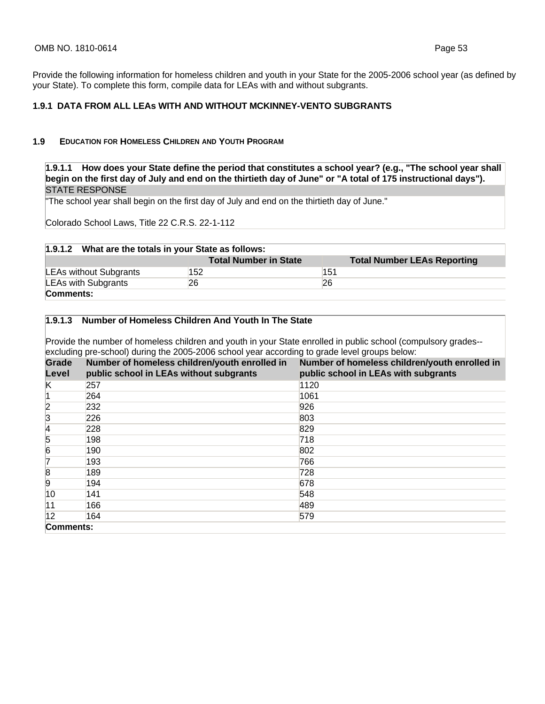Provide the following information for homeless children and youth in your State for the 2005-2006 school year (as defined by your State). To complete this form, compile data for LEAs with and without subgrants.

#### **1.9.1 DATA FROM ALL LEAs WITH AND WITHOUT MCKINNEY-VENTO SUBGRANTS**

#### **1.9 EDUCATION FOR HOMELESS CHILDREN AND YOUTH PROGRAM**

**1.9.1.1 How does your State define the period that constitutes a school year? (e.g., "The school year shall begin on the first day of July and end on the thirtieth day of June" or "A total of 175 instructional days").**  STATE RESPONSE

"The school year shall begin on the first day of July and end on the thirtieth day of June."

Colorado School Laws, Title 22 C.R.S. 22-1-112

| 1.9.1.2 What are the totals in your State as follows: |                              |                                    |  |
|-------------------------------------------------------|------------------------------|------------------------------------|--|
|                                                       | <b>Total Number in State</b> | <b>Total Number LEAs Reporting</b> |  |
| LEAs without Subgrants                                | 152                          | 151                                |  |
| <b>LEAs with Subgrants</b>                            | 26                           | 26                                 |  |
| Comments:                                             |                              |                                    |  |

#### **1.9.1.3 Number of Homeless Children And Youth In The State**

Provide the number of homeless children and youth in your State enrolled in public school (compulsory grades- excluding pre-school) during the 2005-2006 school year according to grade level groups below:

| <b>Grade</b><br>Level | Number of homeless children/youth enrolled in<br>public school in LEAs without subgrants | Number of homeless children/youth enrolled in<br>public school in LEAs with subgrants |
|-----------------------|------------------------------------------------------------------------------------------|---------------------------------------------------------------------------------------|
| K                     | 257                                                                                      | 1120                                                                                  |
|                       | 264                                                                                      | 1061                                                                                  |
| 2                     | 232                                                                                      | 926                                                                                   |
| 3                     | 226                                                                                      | 803                                                                                   |
| 4                     | 228                                                                                      | 829                                                                                   |
| 5                     | 198                                                                                      | 718                                                                                   |
| 6                     | 190                                                                                      | 802                                                                                   |
| 17                    | 193                                                                                      | 766                                                                                   |
| 18                    | 189                                                                                      | 728                                                                                   |
| 9                     | 194                                                                                      | 678                                                                                   |
| 10                    | 141                                                                                      | 548                                                                                   |
| 11                    | 166                                                                                      | 489                                                                                   |
| 12                    | 164                                                                                      | 579                                                                                   |
| Comments:             |                                                                                          |                                                                                       |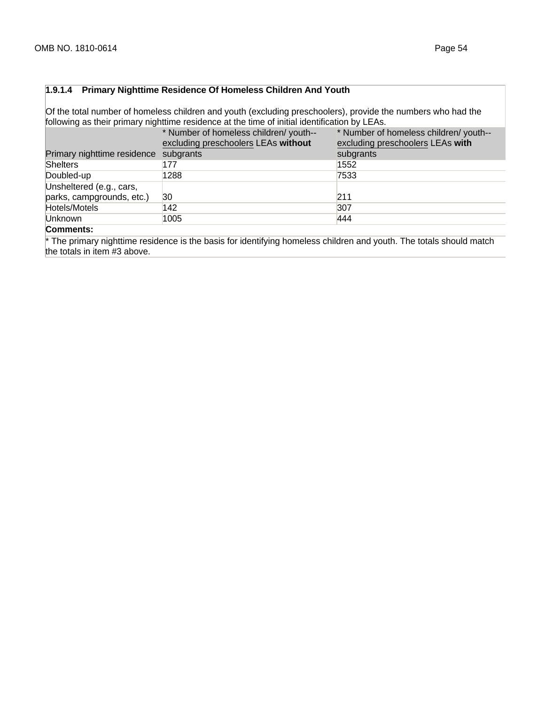#### **1.9.1.4 Primary Nighttime Residence Of Homeless Children And Youth**

Of the total number of homeless children and youth (excluding preschoolers), provide the numbers who had the following as their primary nighttime residence at the time of initial identification by LEAs.

|                                                       | * Number of homeless children/ youth--<br>excluding preschoolers LEAs without | * Number of homeless children/ youth--<br>excluding preschoolers LEAs with |
|-------------------------------------------------------|-------------------------------------------------------------------------------|----------------------------------------------------------------------------|
| Primary nighttime residence subgrants                 |                                                                               | subgrants                                                                  |
| Shelters                                              | 177                                                                           | 1552                                                                       |
| Doubled-up                                            | 1288                                                                          | 7533                                                                       |
| Unsheltered (e.g., cars,<br>parks, campgrounds, etc.) | 30                                                                            | 211                                                                        |
| Hotels/Motels                                         | 142                                                                           | 307                                                                        |
| Unknown<br>$\sim$ $\sim$                              | 1005                                                                          | 444                                                                        |

#### **Comments:**

\* The primary nighttime residence is the basis for identifying homeless children and youth. The totals should match the totals in item #3 above.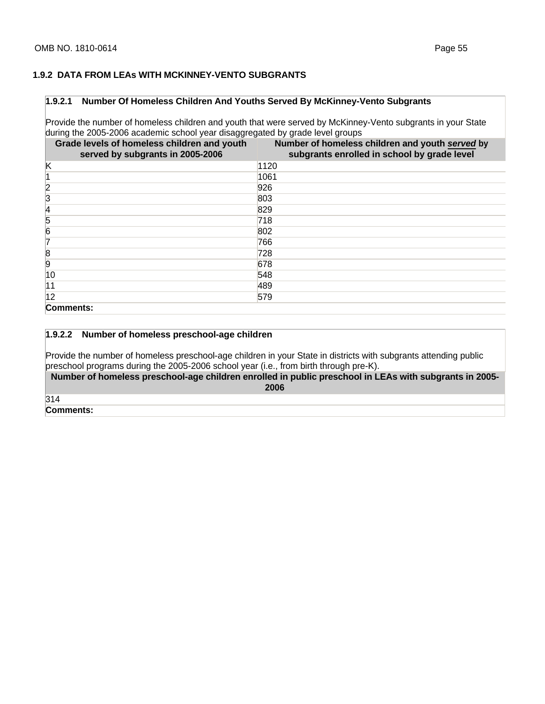#### **1.9.2 DATA FROM LEAs WITH MCKINNEY-VENTO SUBGRANTS**

#### **1.9.2.1 Number Of Homeless Children And Youths Served By McKinney-Vento Subgrants**

Provide the number of homeless children and youth that were served by McKinney-Vento subgrants in your State during the 2005-2006 academic school year disaggregated by grade level groups

| Grade levels of homeless children and youth<br>served by subgrants in 2005-2006 | Number of homeless children and youth served by<br>subgrants enrolled in school by grade level |
|---------------------------------------------------------------------------------|------------------------------------------------------------------------------------------------|
| κ                                                                               | 1120                                                                                           |
|                                                                                 | 1061                                                                                           |
| 2                                                                               | 926                                                                                            |
| 3                                                                               | 803                                                                                            |
| 14                                                                              | 829                                                                                            |
| 5                                                                               | 718                                                                                            |
| 6                                                                               | 802                                                                                            |
| 17                                                                              | 766                                                                                            |
| 8                                                                               | 728                                                                                            |
| 9                                                                               | 678                                                                                            |
| 10                                                                              | 548                                                                                            |
| 11                                                                              | 489                                                                                            |
| 12                                                                              | 579                                                                                            |
| Comments:                                                                       |                                                                                                |

#### **1.9.2.2 Number of homeless preschool-age children**

Provide the number of homeless preschool-age children in your State in districts with subgrants attending public preschool programs during the 2005-2006 school year (i.e., from birth through pre-K).

**Number of homeless preschool-age children enrolled in public preschool in LEAs with subgrants in 2005- 2006** 

314

**Comments:**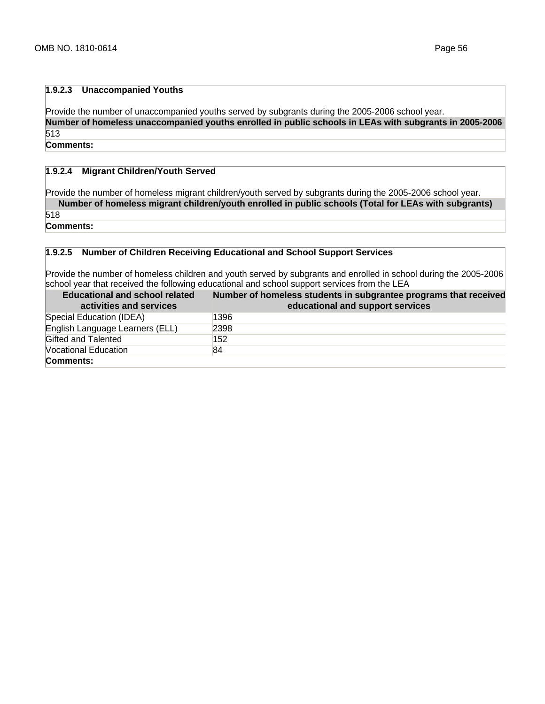## **1.9.2.3 Unaccompanied Youths**

Provide the number of unaccompanied youths served by subgrants during the 2005-2006 school year. **Number of homeless unaccompanied youths enrolled in public schools in LEAs with subgrants in 2005-2006**  513

**Comments:**

## **1.9.2.4 Migrant Children/Youth Served**

Provide the number of homeless migrant children/youth served by subgrants during the 2005-2006 school year. **Number of homeless migrant children/youth enrolled in public schools (Total for LEAs with subgrants)** 

518

**Comments:**

#### **1.9.2.5 Number of Children Receiving Educational and School Support Services**

Provide the number of homeless children and youth served by subgrants and enrolled in school during the 2005-2006 school year that received the following educational and school support services from the LEA

| <b>Educational and school related</b><br>activities and services | Number of homeless students in subgrantee programs that received<br>educational and support services |
|------------------------------------------------------------------|------------------------------------------------------------------------------------------------------|
| Special Education (IDEA)                                         | 1396                                                                                                 |
| English Language Learners (ELL)                                  | 2398                                                                                                 |
| Gifted and Talented                                              | 152                                                                                                  |
| Vocational Education                                             | 84                                                                                                   |
| Comments:                                                        |                                                                                                      |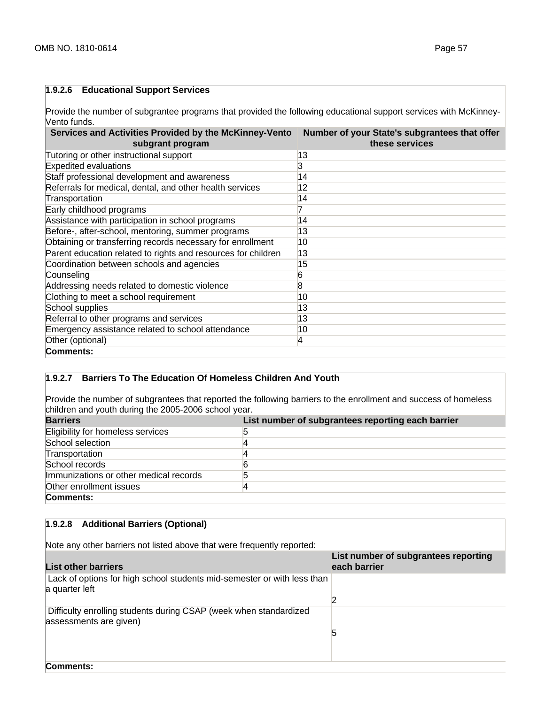## **1.9.2.6 Educational Support Services**

Provide the number of subgrantee programs that provided the following educational support services with McKinney-Vento funds.

| Services and Activities Provided by the McKinney-Vento<br>subgrant program | Number of your State's subgrantees that offer<br>these services |
|----------------------------------------------------------------------------|-----------------------------------------------------------------|
| Tutoring or other instructional support                                    | 13                                                              |
| <b>Expedited evaluations</b>                                               | 3                                                               |
| Staff professional development and awareness                               | 14                                                              |
| Referrals for medical, dental, and other health services                   | 12                                                              |
| Transportation                                                             | 14                                                              |
| Early childhood programs                                                   |                                                                 |
| Assistance with participation in school programs                           | 14                                                              |
| Before-, after-school, mentoring, summer programs                          | 13                                                              |
| Obtaining or transferring records necessary for enrollment                 | 10                                                              |
| Parent education related to rights and resources for children              | 13                                                              |
| Coordination between schools and agencies                                  | 15                                                              |
| Counseling                                                                 | 6                                                               |
| Addressing needs related to domestic violence                              | 8                                                               |
| Clothing to meet a school requirement                                      | 10                                                              |
| School supplies                                                            | 13                                                              |
| Referral to other programs and services                                    | 13                                                              |
| Emergency assistance related to school attendance                          | 10                                                              |
| Other (optional)                                                           | 4                                                               |
| Comments:                                                                  |                                                                 |

# **1.9.2.7 Barriers To The Education Of Homeless Children And Youth**

Provide the number of subgrantees that reported the following barriers to the enrollment and success of homeless children and youth during the 2005-2006 school year.

| <b>Barriers</b>                        | List number of subgrantees reporting each barrier |
|----------------------------------------|---------------------------------------------------|
| Eligibility for homeless services      |                                                   |
| School selection                       |                                                   |
| Transportation                         |                                                   |
| School records                         |                                                   |
| Immunizations or other medical records |                                                   |
| Other enrollment issues                |                                                   |
| Comments:                              |                                                   |

# **1.9.2.8 Additional Barriers (Optional)**

Note any other barriers not listed above that were frequently reported:

| <b>List other barriers</b>                                                                  | List number of subgrantees reporting<br>each barrier |
|---------------------------------------------------------------------------------------------|------------------------------------------------------|
| Lack of options for high school students mid-semester or with less than<br>a quarter left   |                                                      |
|                                                                                             |                                                      |
| Difficulty enrolling students during CSAP (week when standardized<br>assessments are given) |                                                      |
|                                                                                             | 5                                                    |
|                                                                                             |                                                      |
| Comments:                                                                                   |                                                      |